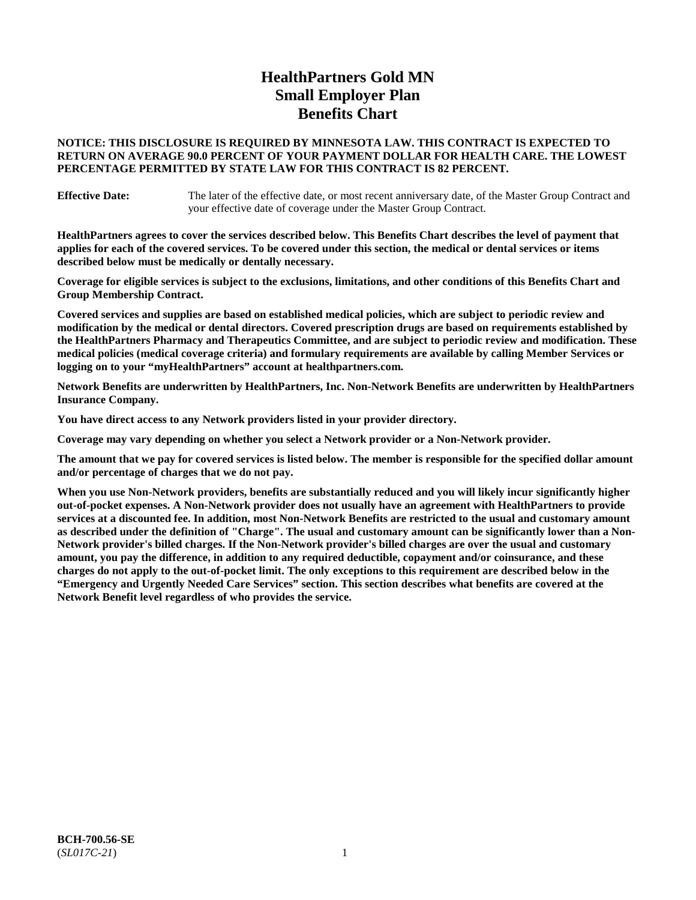# **HealthPartners Gold MN Small Employer Plan Benefits Chart**

# **NOTICE: THIS DISCLOSURE IS REQUIRED BY MINNESOTA LAW. THIS CONTRACT IS EXPECTED TO RETURN ON AVERAGE 90.0 PERCENT OF YOUR PAYMENT DOLLAR FOR HEALTH CARE. THE LOWEST PERCENTAGE PERMITTED BY STATE LAW FOR THIS CONTRACT IS 82 PERCENT.**

**Effective Date:** The later of the effective date, or most recent anniversary date, of the Master Group Contract and your effective date of coverage under the Master Group Contract.

**HealthPartners agrees to cover the services described below. This Benefits Chart describes the level of payment that applies for each of the covered services. To be covered under this section, the medical or dental services or items described below must be medically or dentally necessary.**

**Coverage for eligible services is subject to the exclusions, limitations, and other conditions of this Benefits Chart and Group Membership Contract.**

**Covered services and supplies are based on established medical policies, which are subject to periodic review and modification by the medical or dental directors. Covered prescription drugs are based on requirements established by the HealthPartners Pharmacy and Therapeutics Committee, and are subject to periodic review and modification. These medical policies (medical coverage criteria) and formulary requirements are available by calling Member Services or logging on to your "myHealthPartners" account at [healthpartners.com.](https://www.healthpartners.com/hp/index.html)**

**Network Benefits are underwritten by HealthPartners, Inc. Non-Network Benefits are underwritten by HealthPartners Insurance Company.** 

**You have direct access to any Network providers listed in your provider directory.**

**Coverage may vary depending on whether you select a Network provider or a Non-Network provider.**

**The amount that we pay for covered services is listed below. The member is responsible for the specified dollar amount and/or percentage of charges that we do not pay.**

**When you use Non-Network providers, benefits are substantially reduced and you will likely incur significantly higher out-of-pocket expenses. A Non-Network provider does not usually have an agreement with HealthPartners to provide services at a discounted fee. In addition, most Non-Network Benefits are restricted to the usual and customary amount as described under the definition of "Charge". The usual and customary amount can be significantly lower than a Non-Network provider's billed charges. If the Non-Network provider's billed charges are over the usual and customary amount, you pay the difference, in addition to any required deductible, copayment and/or coinsurance, and these charges do not apply to the out-of-pocket limit. The only exceptions to this requirement are described below in the "Emergency and Urgently Needed Care Services" section. This section describes what benefits are covered at the Network Benefit level regardless of who provides the service.**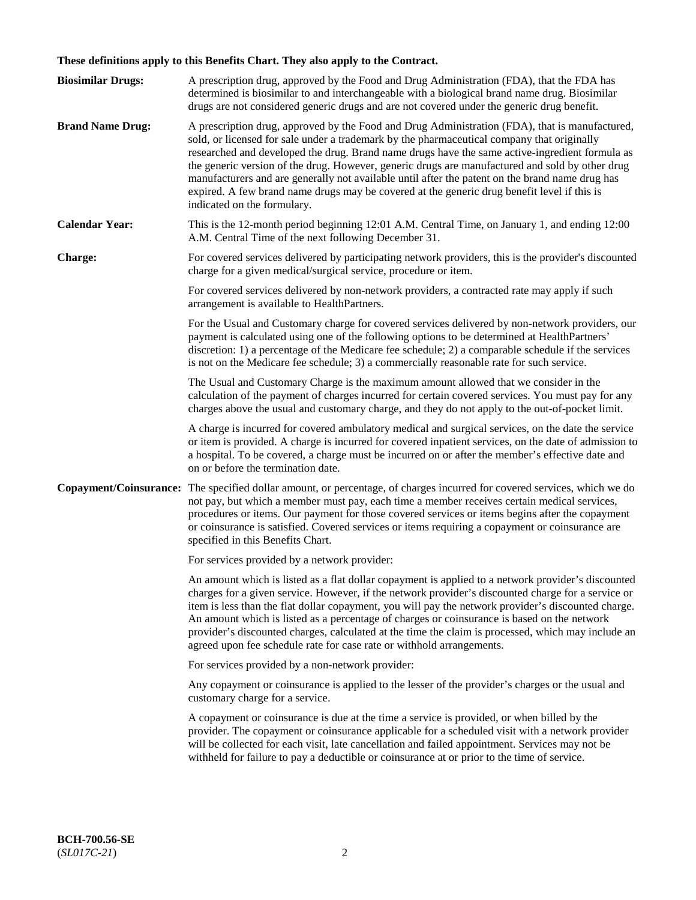# **These definitions apply to this Benefits Chart. They also apply to the Contract.**

| <b>Biosimilar Drugs:</b> | A prescription drug, approved by the Food and Drug Administration (FDA), that the FDA has<br>determined is biosimilar to and interchangeable with a biological brand name drug. Biosimilar<br>drugs are not considered generic drugs and are not covered under the generic drug benefit.                                                                                                                                                                                                                                                                                                                                           |
|--------------------------|------------------------------------------------------------------------------------------------------------------------------------------------------------------------------------------------------------------------------------------------------------------------------------------------------------------------------------------------------------------------------------------------------------------------------------------------------------------------------------------------------------------------------------------------------------------------------------------------------------------------------------|
| <b>Brand Name Drug:</b>  | A prescription drug, approved by the Food and Drug Administration (FDA), that is manufactured,<br>sold, or licensed for sale under a trademark by the pharmaceutical company that originally<br>researched and developed the drug. Brand name drugs have the same active-ingredient formula as<br>the generic version of the drug. However, generic drugs are manufactured and sold by other drug<br>manufacturers and are generally not available until after the patent on the brand name drug has<br>expired. A few brand name drugs may be covered at the generic drug benefit level if this is<br>indicated on the formulary. |
| <b>Calendar Year:</b>    | This is the 12-month period beginning 12:01 A.M. Central Time, on January 1, and ending 12:00<br>A.M. Central Time of the next following December 31.                                                                                                                                                                                                                                                                                                                                                                                                                                                                              |
| <b>Charge:</b>           | For covered services delivered by participating network providers, this is the provider's discounted<br>charge for a given medical/surgical service, procedure or item.                                                                                                                                                                                                                                                                                                                                                                                                                                                            |
|                          | For covered services delivered by non-network providers, a contracted rate may apply if such<br>arrangement is available to HealthPartners.                                                                                                                                                                                                                                                                                                                                                                                                                                                                                        |
|                          | For the Usual and Customary charge for covered services delivered by non-network providers, our<br>payment is calculated using one of the following options to be determined at HealthPartners'<br>discretion: 1) a percentage of the Medicare fee schedule; 2) a comparable schedule if the services<br>is not on the Medicare fee schedule; 3) a commercially reasonable rate for such service.                                                                                                                                                                                                                                  |
|                          | The Usual and Customary Charge is the maximum amount allowed that we consider in the<br>calculation of the payment of charges incurred for certain covered services. You must pay for any<br>charges above the usual and customary charge, and they do not apply to the out-of-pocket limit.                                                                                                                                                                                                                                                                                                                                       |
|                          | A charge is incurred for covered ambulatory medical and surgical services, on the date the service<br>or item is provided. A charge is incurred for covered inpatient services, on the date of admission to<br>a hospital. To be covered, a charge must be incurred on or after the member's effective date and<br>on or before the termination date.                                                                                                                                                                                                                                                                              |
| Copayment/Coinsurance:   | The specified dollar amount, or percentage, of charges incurred for covered services, which we do<br>not pay, but which a member must pay, each time a member receives certain medical services,<br>procedures or items. Our payment for those covered services or items begins after the copayment<br>or coinsurance is satisfied. Covered services or items requiring a copayment or coinsurance are<br>specified in this Benefits Chart.                                                                                                                                                                                        |
|                          | For services provided by a network provider:                                                                                                                                                                                                                                                                                                                                                                                                                                                                                                                                                                                       |
|                          | An amount which is listed as a flat dollar copayment is applied to a network provider's discounted<br>charges for a given service. However, if the network provider's discounted charge for a service or<br>item is less than the flat dollar copayment, you will pay the network provider's discounted charge.<br>An amount which is listed as a percentage of charges or coinsurance is based on the network<br>provider's discounted charges, calculated at the time the claim is processed, which may include an<br>agreed upon fee schedule rate for case rate or withhold arrangements.                                      |
|                          | For services provided by a non-network provider:                                                                                                                                                                                                                                                                                                                                                                                                                                                                                                                                                                                   |
|                          | Any copayment or coinsurance is applied to the lesser of the provider's charges or the usual and<br>customary charge for a service.                                                                                                                                                                                                                                                                                                                                                                                                                                                                                                |
|                          | A copayment or coinsurance is due at the time a service is provided, or when billed by the<br>provider. The copayment or coinsurance applicable for a scheduled visit with a network provider<br>will be collected for each visit, late cancellation and failed appointment. Services may not be<br>withheld for failure to pay a deductible or coinsurance at or prior to the time of service.                                                                                                                                                                                                                                    |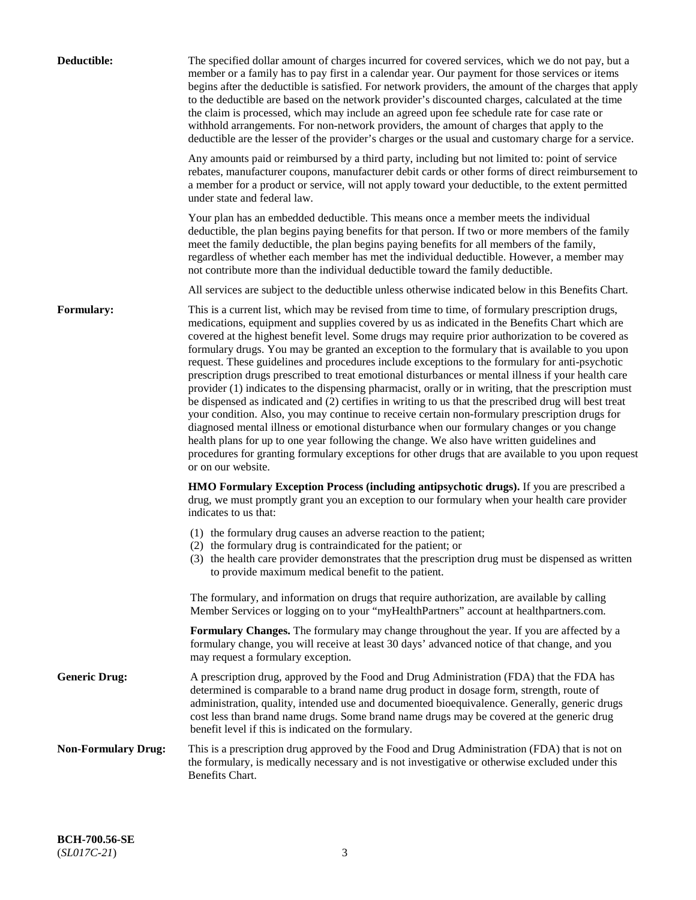| Deductible:                | The specified dollar amount of charges incurred for covered services, which we do not pay, but a<br>member or a family has to pay first in a calendar year. Our payment for those services or items<br>begins after the deductible is satisfied. For network providers, the amount of the charges that apply<br>to the deductible are based on the network provider's discounted charges, calculated at the time<br>the claim is processed, which may include an agreed upon fee schedule rate for case rate or<br>withhold arrangements. For non-network providers, the amount of charges that apply to the<br>deductible are the lesser of the provider's charges or the usual and customary charge for a service.                                                                                                                                                                                                                                                                                                                                                                                                                                                                                                                                             |
|----------------------------|------------------------------------------------------------------------------------------------------------------------------------------------------------------------------------------------------------------------------------------------------------------------------------------------------------------------------------------------------------------------------------------------------------------------------------------------------------------------------------------------------------------------------------------------------------------------------------------------------------------------------------------------------------------------------------------------------------------------------------------------------------------------------------------------------------------------------------------------------------------------------------------------------------------------------------------------------------------------------------------------------------------------------------------------------------------------------------------------------------------------------------------------------------------------------------------------------------------------------------------------------------------|
|                            | Any amounts paid or reimbursed by a third party, including but not limited to: point of service<br>rebates, manufacturer coupons, manufacturer debit cards or other forms of direct reimbursement to<br>a member for a product or service, will not apply toward your deductible, to the extent permitted<br>under state and federal law.                                                                                                                                                                                                                                                                                                                                                                                                                                                                                                                                                                                                                                                                                                                                                                                                                                                                                                                        |
|                            | Your plan has an embedded deductible. This means once a member meets the individual<br>deductible, the plan begins paying benefits for that person. If two or more members of the family<br>meet the family deductible, the plan begins paying benefits for all members of the family,<br>regardless of whether each member has met the individual deductible. However, a member may<br>not contribute more than the individual deductible toward the family deductible.                                                                                                                                                                                                                                                                                                                                                                                                                                                                                                                                                                                                                                                                                                                                                                                         |
|                            | All services are subject to the deductible unless otherwise indicated below in this Benefits Chart.                                                                                                                                                                                                                                                                                                                                                                                                                                                                                                                                                                                                                                                                                                                                                                                                                                                                                                                                                                                                                                                                                                                                                              |
| Formulary:                 | This is a current list, which may be revised from time to time, of formulary prescription drugs,<br>medications, equipment and supplies covered by us as indicated in the Benefits Chart which are<br>covered at the highest benefit level. Some drugs may require prior authorization to be covered as<br>formulary drugs. You may be granted an exception to the formulary that is available to you upon<br>request. These guidelines and procedures include exceptions to the formulary for anti-psychotic<br>prescription drugs prescribed to treat emotional disturbances or mental illness if your health care<br>provider (1) indicates to the dispensing pharmacist, orally or in writing, that the prescription must<br>be dispensed as indicated and (2) certifies in writing to us that the prescribed drug will best treat<br>your condition. Also, you may continue to receive certain non-formulary prescription drugs for<br>diagnosed mental illness or emotional disturbance when our formulary changes or you change<br>health plans for up to one year following the change. We also have written guidelines and<br>procedures for granting formulary exceptions for other drugs that are available to you upon request<br>or on our website. |
|                            | <b>HMO Formulary Exception Process (including antipsychotic drugs).</b> If you are prescribed a<br>drug, we must promptly grant you an exception to our formulary when your health care provider<br>indicates to us that:                                                                                                                                                                                                                                                                                                                                                                                                                                                                                                                                                                                                                                                                                                                                                                                                                                                                                                                                                                                                                                        |
|                            | (1) the formulary drug causes an adverse reaction to the patient;<br>(2) the formulary drug is contraindicated for the patient; or<br>(3) the health care provider demonstrates that the prescription drug must be dispensed as written<br>to provide maximum medical benefit to the patient.                                                                                                                                                                                                                                                                                                                                                                                                                                                                                                                                                                                                                                                                                                                                                                                                                                                                                                                                                                    |
|                            | The formulary, and information on drugs that require authorization, are available by calling<br>Member Services or logging on to your "myHealthPartners" account at healthpartners.com.                                                                                                                                                                                                                                                                                                                                                                                                                                                                                                                                                                                                                                                                                                                                                                                                                                                                                                                                                                                                                                                                          |
|                            | Formulary Changes. The formulary may change throughout the year. If you are affected by a<br>formulary change, you will receive at least 30 days' advanced notice of that change, and you<br>may request a formulary exception.                                                                                                                                                                                                                                                                                                                                                                                                                                                                                                                                                                                                                                                                                                                                                                                                                                                                                                                                                                                                                                  |
| <b>Generic Drug:</b>       | A prescription drug, approved by the Food and Drug Administration (FDA) that the FDA has<br>determined is comparable to a brand name drug product in dosage form, strength, route of<br>administration, quality, intended use and documented bioequivalence. Generally, generic drugs<br>cost less than brand name drugs. Some brand name drugs may be covered at the generic drug<br>benefit level if this is indicated on the formulary.                                                                                                                                                                                                                                                                                                                                                                                                                                                                                                                                                                                                                                                                                                                                                                                                                       |
| <b>Non-Formulary Drug:</b> | This is a prescription drug approved by the Food and Drug Administration (FDA) that is not on<br>the formulary, is medically necessary and is not investigative or otherwise excluded under this<br>Benefits Chart.                                                                                                                                                                                                                                                                                                                                                                                                                                                                                                                                                                                                                                                                                                                                                                                                                                                                                                                                                                                                                                              |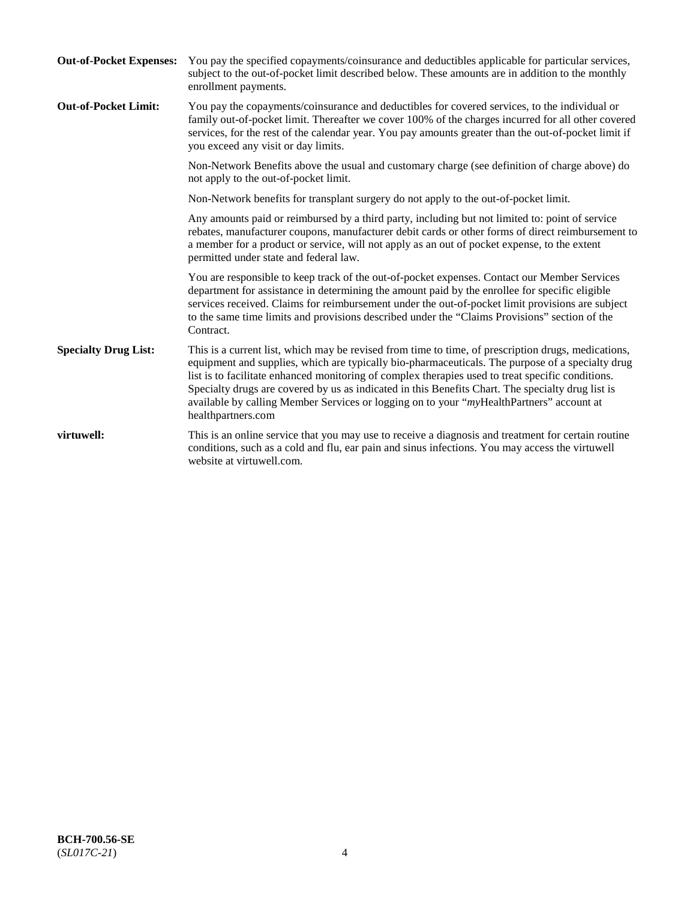| <b>Out-of-Pocket Expenses:</b> | You pay the specified copayments/coinsurance and deductibles applicable for particular services,<br>subject to the out-of-pocket limit described below. These amounts are in addition to the monthly<br>enrollment payments.                                                                                                                                                                                                                                                                                                        |
|--------------------------------|-------------------------------------------------------------------------------------------------------------------------------------------------------------------------------------------------------------------------------------------------------------------------------------------------------------------------------------------------------------------------------------------------------------------------------------------------------------------------------------------------------------------------------------|
| <b>Out-of-Pocket Limit:</b>    | You pay the copayments/coinsurance and deductibles for covered services, to the individual or<br>family out-of-pocket limit. Thereafter we cover 100% of the charges incurred for all other covered<br>services, for the rest of the calendar year. You pay amounts greater than the out-of-pocket limit if<br>you exceed any visit or day limits.                                                                                                                                                                                  |
|                                | Non-Network Benefits above the usual and customary charge (see definition of charge above) do<br>not apply to the out-of-pocket limit.                                                                                                                                                                                                                                                                                                                                                                                              |
|                                | Non-Network benefits for transplant surgery do not apply to the out-of-pocket limit.                                                                                                                                                                                                                                                                                                                                                                                                                                                |
|                                | Any amounts paid or reimbursed by a third party, including but not limited to: point of service<br>rebates, manufacturer coupons, manufacturer debit cards or other forms of direct reimbursement to<br>a member for a product or service, will not apply as an out of pocket expense, to the extent<br>permitted under state and federal law.                                                                                                                                                                                      |
|                                | You are responsible to keep track of the out-of-pocket expenses. Contact our Member Services<br>department for assistance in determining the amount paid by the enrollee for specific eligible<br>services received. Claims for reimbursement under the out-of-pocket limit provisions are subject<br>to the same time limits and provisions described under the "Claims Provisions" section of the<br>Contract.                                                                                                                    |
| <b>Specialty Drug List:</b>    | This is a current list, which may be revised from time to time, of prescription drugs, medications,<br>equipment and supplies, which are typically bio-pharmaceuticals. The purpose of a specialty drug<br>list is to facilitate enhanced monitoring of complex therapies used to treat specific conditions.<br>Specialty drugs are covered by us as indicated in this Benefits Chart. The specialty drug list is<br>available by calling Member Services or logging on to your "myHealthPartners" account at<br>healthpartners.com |
| virtuwell:                     | This is an online service that you may use to receive a diagnosis and treatment for certain routine<br>conditions, such as a cold and flu, ear pain and sinus infections. You may access the virtuwell<br>website at virtuwell.com.                                                                                                                                                                                                                                                                                                 |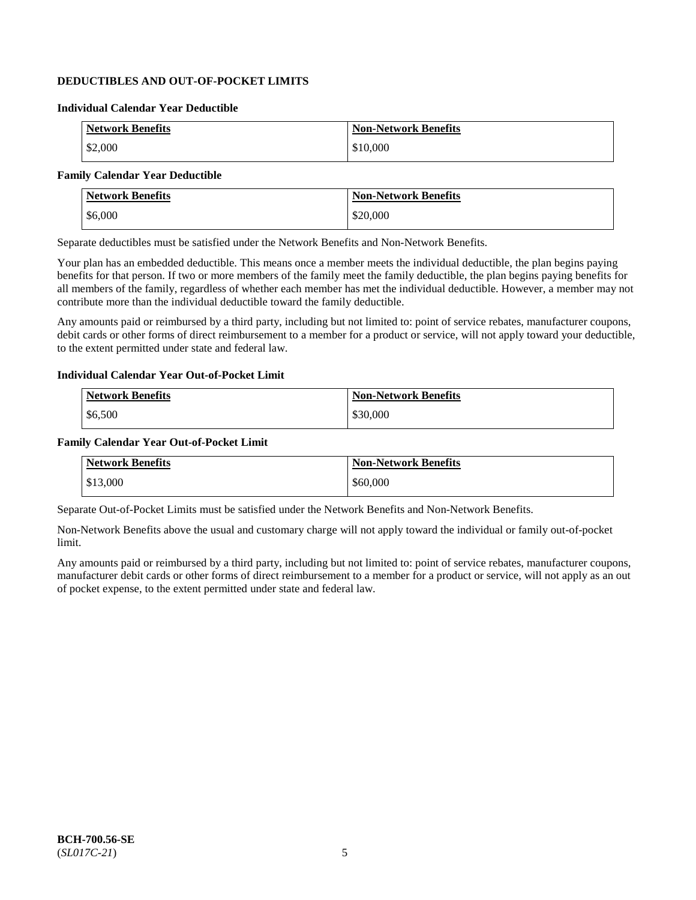# **DEDUCTIBLES AND OUT-OF-POCKET LIMITS**

### **Individual Calendar Year Deductible**

| <b>Network Benefits</b> | <b>Non-Network Benefits</b> |
|-------------------------|-----------------------------|
| \$2,000                 | \$10,000                    |

# **Family Calendar Year Deductible**

| <b>Network Benefits</b> | <b>Non-Network Benefits</b> |
|-------------------------|-----------------------------|
| \$6,000                 | \$20,000                    |

Separate deductibles must be satisfied under the Network Benefits and Non-Network Benefits.

Your plan has an embedded deductible. This means once a member meets the individual deductible, the plan begins paying benefits for that person. If two or more members of the family meet the family deductible, the plan begins paying benefits for all members of the family, regardless of whether each member has met the individual deductible. However, a member may not contribute more than the individual deductible toward the family deductible.

Any amounts paid or reimbursed by a third party, including but not limited to: point of service rebates, manufacturer coupons, debit cards or other forms of direct reimbursement to a member for a product or service, will not apply toward your deductible, to the extent permitted under state and federal law.

#### **Individual Calendar Year Out-of-Pocket Limit**

| <b>Network Benefits</b> | <b>Non-Network Benefits</b> |
|-------------------------|-----------------------------|
| \$6,500                 | \$30,000                    |

#### **Family Calendar Year Out-of-Pocket Limit**

| <b>Network Benefits</b> | <b>Non-Network Benefits</b> |
|-------------------------|-----------------------------|
| \$13,000                | \$60,000                    |

Separate Out-of-Pocket Limits must be satisfied under the Network Benefits and Non-Network Benefits.

Non-Network Benefits above the usual and customary charge will not apply toward the individual or family out-of-pocket limit.

Any amounts paid or reimbursed by a third party, including but not limited to: point of service rebates, manufacturer coupons, manufacturer debit cards or other forms of direct reimbursement to a member for a product or service, will not apply as an out of pocket expense, to the extent permitted under state and federal law.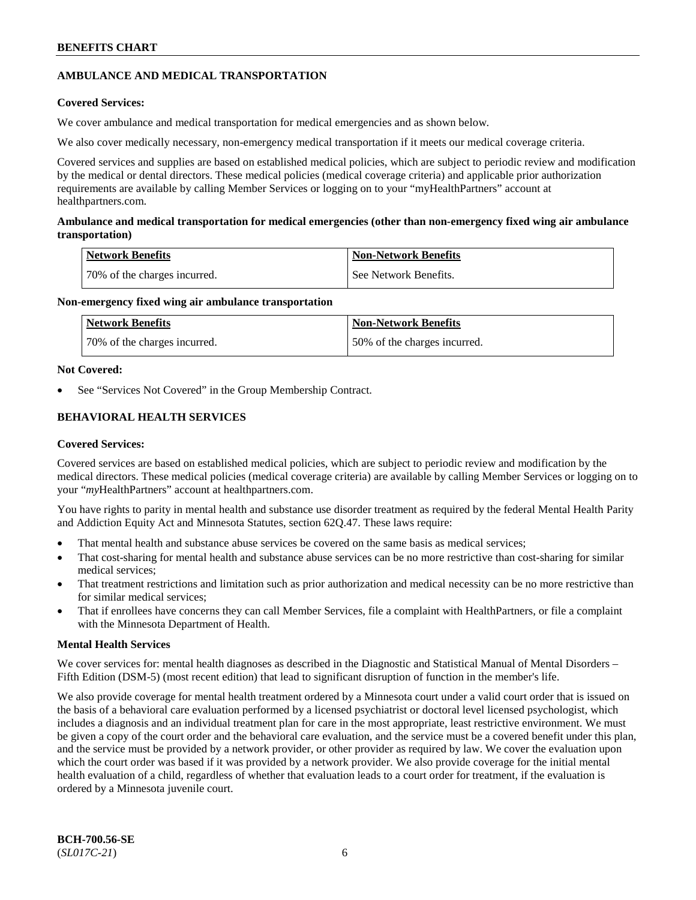# **AMBULANCE AND MEDICAL TRANSPORTATION**

# **Covered Services:**

We cover ambulance and medical transportation for medical emergencies and as shown below.

We also cover medically necessary, non-emergency medical transportation if it meets our medical coverage criteria.

Covered services and supplies are based on established medical policies, which are subject to periodic review and modification by the medical or dental directors. These medical policies (medical coverage criteria) and applicable prior authorization requirements are available by calling Member Services or logging on to your "myHealthPartners" account at [healthpartners.com.](https://www.healthpartners.com/hp/index.html)

# **Ambulance and medical transportation for medical emergencies (other than non-emergency fixed wing air ambulance transportation)**

| Network Benefits             | <b>Non-Network Benefits</b> |
|------------------------------|-----------------------------|
| 70% of the charges incurred. | See Network Benefits.       |

# **Non-emergency fixed wing air ambulance transportation**

| Network Benefits             | <b>Non-Network Benefits</b>  |
|------------------------------|------------------------------|
| 70% of the charges incurred. | 50% of the charges incurred. |

# **Not Covered:**

See "Services Not Covered" in the Group Membership Contract.

# **BEHAVIORAL HEALTH SERVICES**

# **Covered Services:**

Covered services are based on established medical policies, which are subject to periodic review and modification by the medical directors. These medical policies (medical coverage criteria) are available by calling Member Services or logging on to your "*my*HealthPartners" account at [healthpartners.com.](http://www.healthpartners.com/)

You have rights to parity in mental health and substance use disorder treatment as required by the federal Mental Health Parity and Addiction Equity Act and Minnesota Statutes, section 62Q.47. These laws require:

- That mental health and substance abuse services be covered on the same basis as medical services;
- That cost-sharing for mental health and substance abuse services can be no more restrictive than cost-sharing for similar medical services;
- That treatment restrictions and limitation such as prior authorization and medical necessity can be no more restrictive than for similar medical services;
- That if enrollees have concerns they can call Member Services, file a complaint with HealthPartners, or file a complaint with the Minnesota Department of Health.

# **Mental Health Services**

We cover services for: mental health diagnoses as described in the Diagnostic and Statistical Manual of Mental Disorders – Fifth Edition (DSM-5) (most recent edition) that lead to significant disruption of function in the member's life.

We also provide coverage for mental health treatment ordered by a Minnesota court under a valid court order that is issued on the basis of a behavioral care evaluation performed by a licensed psychiatrist or doctoral level licensed psychologist, which includes a diagnosis and an individual treatment plan for care in the most appropriate, least restrictive environment. We must be given a copy of the court order and the behavioral care evaluation, and the service must be a covered benefit under this plan, and the service must be provided by a network provider, or other provider as required by law. We cover the evaluation upon which the court order was based if it was provided by a network provider. We also provide coverage for the initial mental health evaluation of a child, regardless of whether that evaluation leads to a court order for treatment, if the evaluation is ordered by a Minnesota juvenile court.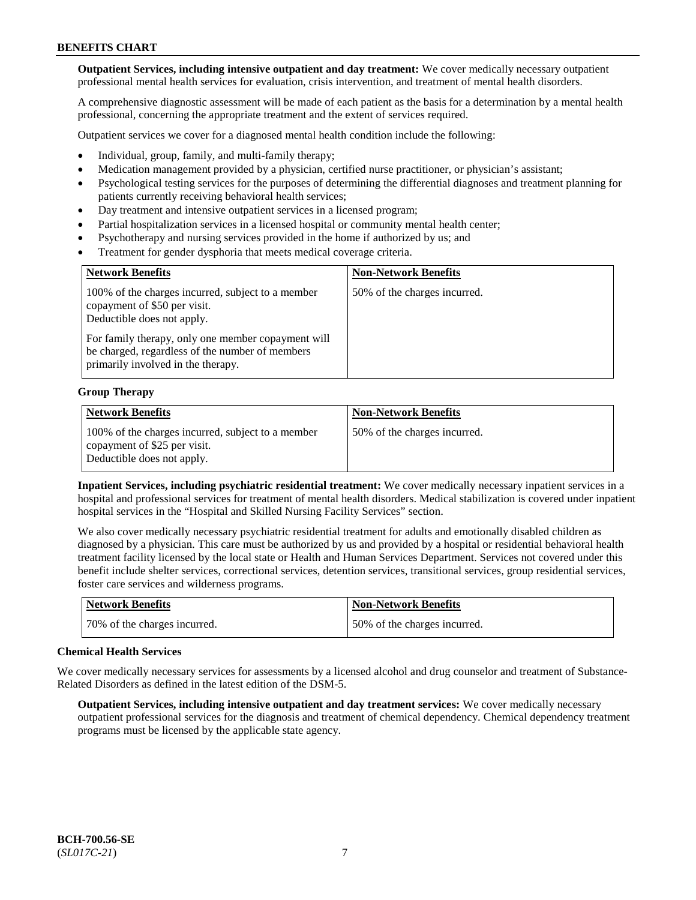**Outpatient Services, including intensive outpatient and day treatment:** We cover medically necessary outpatient professional mental health services for evaluation, crisis intervention, and treatment of mental health disorders.

A comprehensive diagnostic assessment will be made of each patient as the basis for a determination by a mental health professional, concerning the appropriate treatment and the extent of services required.

Outpatient services we cover for a diagnosed mental health condition include the following:

- Individual, group, family, and multi-family therapy;
- Medication management provided by a physician, certified nurse practitioner, or physician's assistant;
- Psychological testing services for the purposes of determining the differential diagnoses and treatment planning for patients currently receiving behavioral health services;
- Day treatment and intensive outpatient services in a licensed program;
- Partial hospitalization services in a licensed hospital or community mental health center;
- Psychotherapy and nursing services provided in the home if authorized by us; and
- Treatment for gender dysphoria that meets medical coverage criteria.

| <b>Network Benefits</b>                                                                                                                     | <b>Non-Network Benefits</b>  |
|---------------------------------------------------------------------------------------------------------------------------------------------|------------------------------|
| 100% of the charges incurred, subject to a member<br>copayment of \$50 per visit.<br>Deductible does not apply.                             | 50% of the charges incurred. |
| For family therapy, only one member copayment will<br>be charged, regardless of the number of members<br>primarily involved in the therapy. |                              |

#### **Group Therapy**

| Network Benefits                                                                                                | <b>Non-Network Benefits</b>  |
|-----------------------------------------------------------------------------------------------------------------|------------------------------|
| 100% of the charges incurred, subject to a member<br>copayment of \$25 per visit.<br>Deductible does not apply. | 50% of the charges incurred. |

**Inpatient Services, including psychiatric residential treatment:** We cover medically necessary inpatient services in a hospital and professional services for treatment of mental health disorders. Medical stabilization is covered under inpatient hospital services in the "Hospital and Skilled Nursing Facility Services" section.

We also cover medically necessary psychiatric residential treatment for adults and emotionally disabled children as diagnosed by a physician. This care must be authorized by us and provided by a hospital or residential behavioral health treatment facility licensed by the local state or Health and Human Services Department. Services not covered under this benefit include shelter services, correctional services, detention services, transitional services, group residential services, foster care services and wilderness programs.

| Network Benefits             | <b>Non-Network Benefits</b>  |
|------------------------------|------------------------------|
| 70% of the charges incurred. | 50% of the charges incurred. |

#### **Chemical Health Services**

We cover medically necessary services for assessments by a licensed alcohol and drug counselor and treatment of Substance-Related Disorders as defined in the latest edition of the DSM-5.

**Outpatient Services, including intensive outpatient and day treatment services:** We cover medically necessary outpatient professional services for the diagnosis and treatment of chemical dependency. Chemical dependency treatment programs must be licensed by the applicable state agency.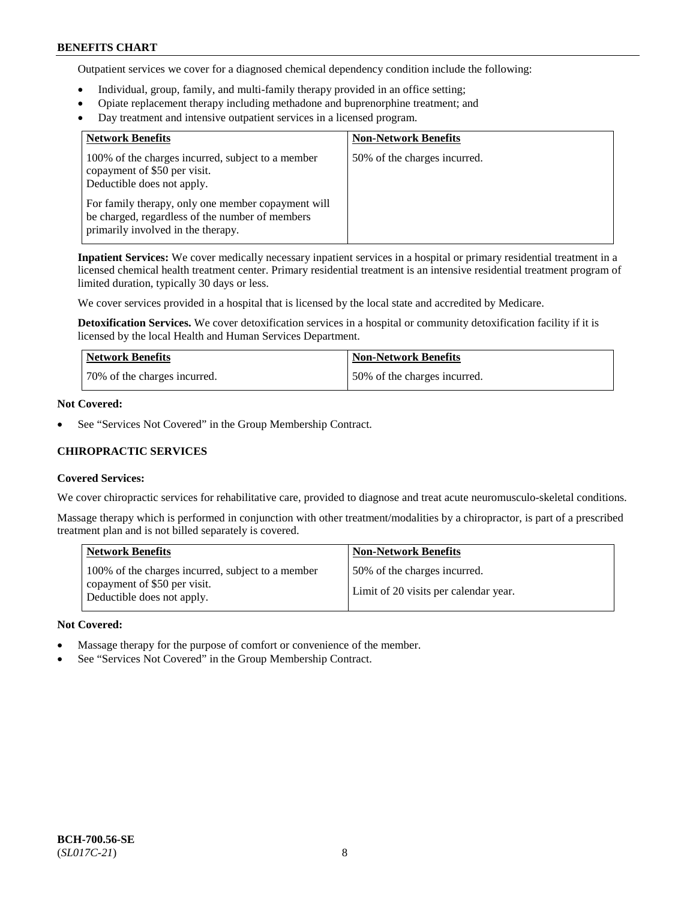Outpatient services we cover for a diagnosed chemical dependency condition include the following:

- Individual, group, family, and multi-family therapy provided in an office setting;
- Opiate replacement therapy including methadone and buprenorphine treatment; and
- Day treatment and intensive outpatient services in a licensed program.

| <b>Network Benefits</b>                                                                                                                     | <b>Non-Network Benefits</b>  |
|---------------------------------------------------------------------------------------------------------------------------------------------|------------------------------|
| 100% of the charges incurred, subject to a member<br>copayment of \$50 per visit.<br>Deductible does not apply.                             | 50% of the charges incurred. |
| For family therapy, only one member copayment will<br>be charged, regardless of the number of members<br>primarily involved in the therapy. |                              |

**Inpatient Services:** We cover medically necessary inpatient services in a hospital or primary residential treatment in a licensed chemical health treatment center. Primary residential treatment is an intensive residential treatment program of limited duration, typically 30 days or less.

We cover services provided in a hospital that is licensed by the local state and accredited by Medicare.

**Detoxification Services.** We cover detoxification services in a hospital or community detoxification facility if it is licensed by the local Health and Human Services Department.

| <b>Network Benefits</b>      | <b>Non-Network Benefits</b>  |
|------------------------------|------------------------------|
| 70% of the charges incurred. | 50% of the charges incurred. |

#### **Not Covered:**

See "Services Not Covered" in the Group Membership Contract.

# **CHIROPRACTIC SERVICES**

#### **Covered Services:**

We cover chiropractic services for rehabilitative care, provided to diagnose and treat acute neuromusculo-skeletal conditions.

Massage therapy which is performed in conjunction with other treatment/modalities by a chiropractor, is part of a prescribed treatment plan and is not billed separately is covered.

| <b>Network Benefits</b>                                                                                         | <b>Non-Network Benefits</b>                                           |
|-----------------------------------------------------------------------------------------------------------------|-----------------------------------------------------------------------|
| 100% of the charges incurred, subject to a member<br>copayment of \$50 per visit.<br>Deductible does not apply. | 50% of the charges incurred.<br>Limit of 20 visits per calendar year. |

#### **Not Covered:**

- Massage therapy for the purpose of comfort or convenience of the member.
- See "Services Not Covered" in the Group Membership Contract.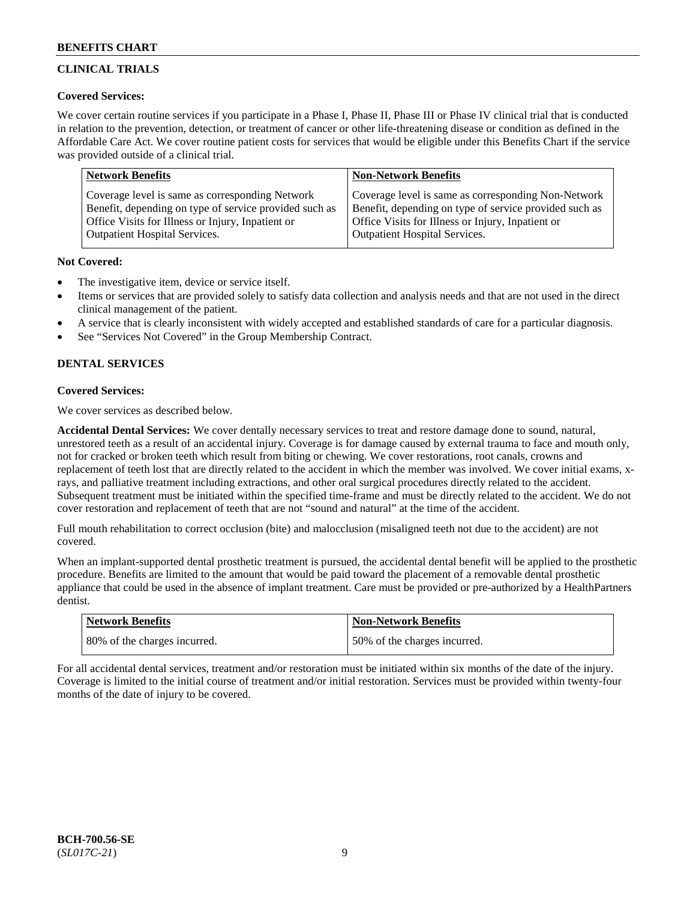# **CLINICAL TRIALS**

# **Covered Services:**

We cover certain routine services if you participate in a Phase I, Phase II, Phase III or Phase IV clinical trial that is conducted in relation to the prevention, detection, or treatment of cancer or other life-threatening disease or condition as defined in the Affordable Care Act. We cover routine patient costs for services that would be eligible under this Benefits Chart if the service was provided outside of a clinical trial.

| <b>Network Benefits</b>                                | <b>Non-Network Benefits</b>                            |
|--------------------------------------------------------|--------------------------------------------------------|
| Coverage level is same as corresponding Network        | Coverage level is same as corresponding Non-Network    |
| Benefit, depending on type of service provided such as | Benefit, depending on type of service provided such as |
| Office Visits for Illness or Injury, Inpatient or      | Office Visits for Illness or Injury, Inpatient or      |
| <b>Outpatient Hospital Services.</b>                   | Outpatient Hospital Services.                          |

# **Not Covered:**

- The investigative item, device or service itself.
- Items or services that are provided solely to satisfy data collection and analysis needs and that are not used in the direct clinical management of the patient.
- A service that is clearly inconsistent with widely accepted and established standards of care for a particular diagnosis.
- See "Services Not Covered" in the Group Membership Contract.

# **DENTAL SERVICES**

# **Covered Services:**

We cover services as described below.

**Accidental Dental Services:** We cover dentally necessary services to treat and restore damage done to sound, natural, unrestored teeth as a result of an accidental injury. Coverage is for damage caused by external trauma to face and mouth only, not for cracked or broken teeth which result from biting or chewing. We cover restorations, root canals, crowns and replacement of teeth lost that are directly related to the accident in which the member was involved. We cover initial exams, xrays, and palliative treatment including extractions, and other oral surgical procedures directly related to the accident. Subsequent treatment must be initiated within the specified time-frame and must be directly related to the accident. We do not cover restoration and replacement of teeth that are not "sound and natural" at the time of the accident.

Full mouth rehabilitation to correct occlusion (bite) and malocclusion (misaligned teeth not due to the accident) are not covered.

When an implant-supported dental prosthetic treatment is pursued, the accidental dental benefit will be applied to the prosthetic procedure. Benefits are limited to the amount that would be paid toward the placement of a removable dental prosthetic appliance that could be used in the absence of implant treatment. Care must be provided or pre-authorized by a HealthPartners dentist.

| <b>Network Benefits</b>      | <b>Non-Network Benefits</b>   |
|------------------------------|-------------------------------|
| 80% of the charges incurred. | 150% of the charges incurred. |

For all accidental dental services, treatment and/or restoration must be initiated within six months of the date of the injury. Coverage is limited to the initial course of treatment and/or initial restoration. Services must be provided within twenty-four months of the date of injury to be covered.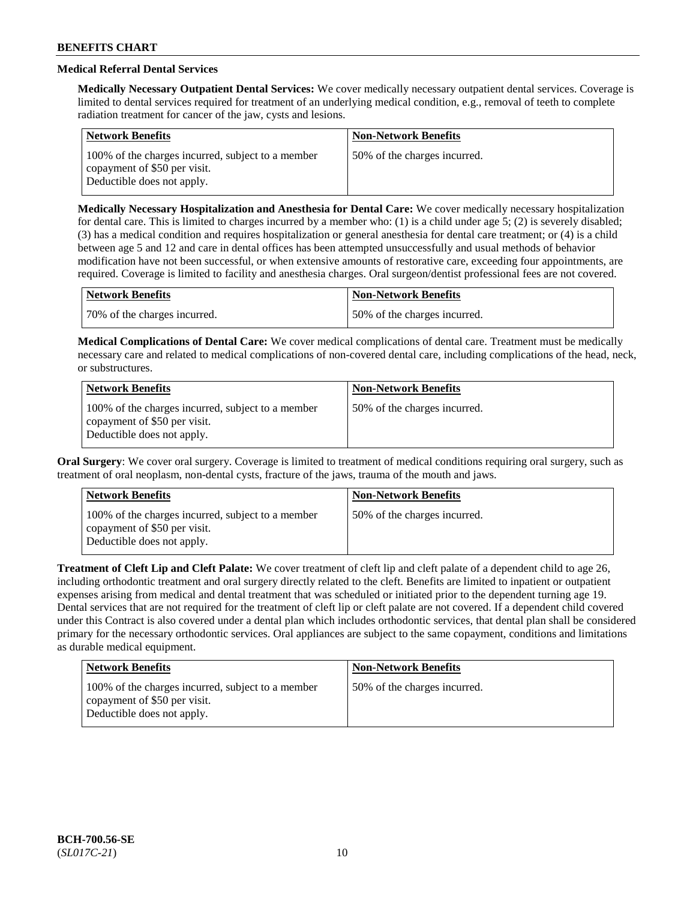# **Medical Referral Dental Services**

**Medically Necessary Outpatient Dental Services:** We cover medically necessary outpatient dental services. Coverage is limited to dental services required for treatment of an underlying medical condition, e.g., removal of teeth to complete radiation treatment for cancer of the jaw, cysts and lesions.

| <b>Network Benefits</b>                                                                                         | <b>Non-Network Benefits</b>  |
|-----------------------------------------------------------------------------------------------------------------|------------------------------|
| 100% of the charges incurred, subject to a member<br>copayment of \$50 per visit.<br>Deductible does not apply. | 50% of the charges incurred. |

**Medically Necessary Hospitalization and Anesthesia for Dental Care:** We cover medically necessary hospitalization for dental care. This is limited to charges incurred by a member who: (1) is a child under age  $5$ ; (2) is severely disabled; (3) has a medical condition and requires hospitalization or general anesthesia for dental care treatment; or (4) is a child between age 5 and 12 and care in dental offices has been attempted unsuccessfully and usual methods of behavior modification have not been successful, or when extensive amounts of restorative care, exceeding four appointments, are required. Coverage is limited to facility and anesthesia charges. Oral surgeon/dentist professional fees are not covered.

| Network Benefits             | <b>Non-Network Benefits</b>  |
|------------------------------|------------------------------|
| 70% of the charges incurred. | 50% of the charges incurred. |

**Medical Complications of Dental Care:** We cover medical complications of dental care. Treatment must be medically necessary care and related to medical complications of non-covered dental care, including complications of the head, neck, or substructures.

| <b>Network Benefits</b>                                                                                         | <b>Non-Network Benefits</b>  |
|-----------------------------------------------------------------------------------------------------------------|------------------------------|
| 100% of the charges incurred, subject to a member<br>copayment of \$50 per visit.<br>Deductible does not apply. | 50% of the charges incurred. |

**Oral Surgery**: We cover oral surgery. Coverage is limited to treatment of medical conditions requiring oral surgery, such as treatment of oral neoplasm, non-dental cysts, fracture of the jaws, trauma of the mouth and jaws.

| <b>Network Benefits</b>                                                                                         | <b>Non-Network Benefits</b>  |
|-----------------------------------------------------------------------------------------------------------------|------------------------------|
| 100% of the charges incurred, subject to a member<br>copayment of \$50 per visit.<br>Deductible does not apply. | 50% of the charges incurred. |

**Treatment of Cleft Lip and Cleft Palate:** We cover treatment of cleft lip and cleft palate of a dependent child to age 26, including orthodontic treatment and oral surgery directly related to the cleft. Benefits are limited to inpatient or outpatient expenses arising from medical and dental treatment that was scheduled or initiated prior to the dependent turning age 19. Dental services that are not required for the treatment of cleft lip or cleft palate are not covered. If a dependent child covered under this Contract is also covered under a dental plan which includes orthodontic services, that dental plan shall be considered primary for the necessary orthodontic services. Oral appliances are subject to the same copayment, conditions and limitations as durable medical equipment.

| <b>Network Benefits</b>                                                                                         | <b>Non-Network Benefits</b>  |
|-----------------------------------------------------------------------------------------------------------------|------------------------------|
| 100% of the charges incurred, subject to a member<br>copayment of \$50 per visit.<br>Deductible does not apply. | 50% of the charges incurred. |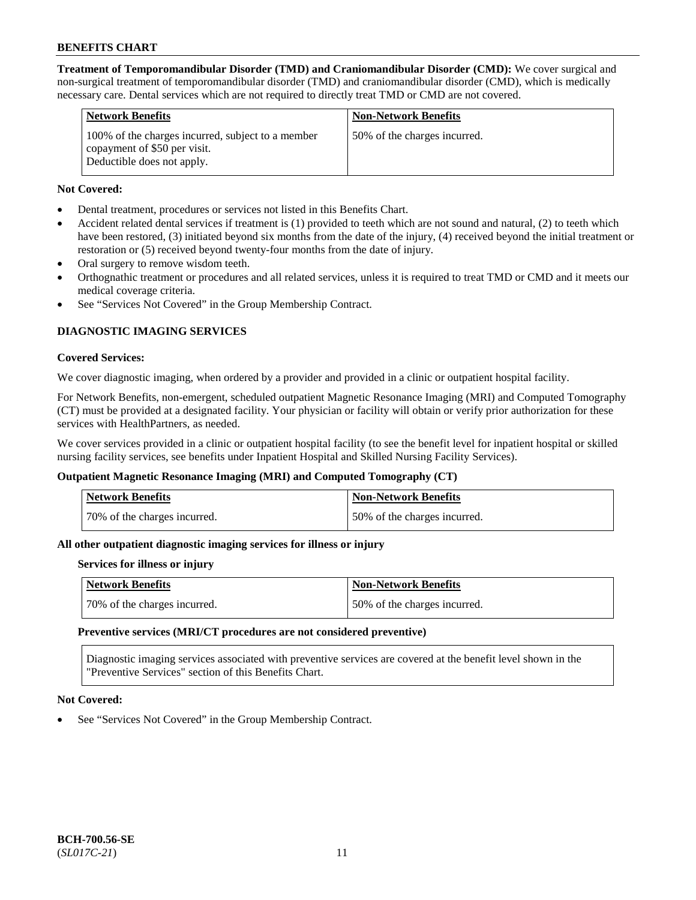**Treatment of Temporomandibular Disorder (TMD) and Craniomandibular Disorder (CMD):** We cover surgical and non-surgical treatment of temporomandibular disorder (TMD) and craniomandibular disorder (CMD), which is medically necessary care. Dental services which are not required to directly treat TMD or CMD are not covered.

| <b>Network Benefits</b>                                                                                         | <b>Non-Network Benefits</b>   |
|-----------------------------------------------------------------------------------------------------------------|-------------------------------|
| 100% of the charges incurred, subject to a member<br>copayment of \$50 per visit.<br>Deductible does not apply. | 50\% of the charges incurred. |

# **Not Covered:**

- Dental treatment, procedures or services not listed in this Benefits Chart.
- Accident related dental services if treatment is (1) provided to teeth which are not sound and natural, (2) to teeth which have been restored, (3) initiated beyond six months from the date of the injury, (4) received beyond the initial treatment or restoration or (5) received beyond twenty-four months from the date of injury.
- Oral surgery to remove wisdom teeth.
- Orthognathic treatment or procedures and all related services, unless it is required to treat TMD or CMD and it meets our medical coverage criteria.
- See "Services Not Covered" in the Group Membership Contract.

# **DIAGNOSTIC IMAGING SERVICES**

#### **Covered Services:**

We cover diagnostic imaging, when ordered by a provider and provided in a clinic or outpatient hospital facility.

For Network Benefits, non-emergent, scheduled outpatient Magnetic Resonance Imaging (MRI) and Computed Tomography (CT) must be provided at a designated facility. Your physician or facility will obtain or verify prior authorization for these services with HealthPartners, as needed.

We cover services provided in a clinic or outpatient hospital facility (to see the benefit level for inpatient hospital or skilled nursing facility services, see benefits under Inpatient Hospital and Skilled Nursing Facility Services).

# **Outpatient Magnetic Resonance Imaging (MRI) and Computed Tomography (CT)**

| Network Benefits             | <b>Non-Network Benefits</b>  |
|------------------------------|------------------------------|
| 70% of the charges incurred. | 50% of the charges incurred. |

# **All other outpatient diagnostic imaging services for illness or injury**

#### **Services for illness or injury**

| Network Benefits             | Non-Network Benefits         |
|------------------------------|------------------------------|
| 70% of the charges incurred. | 50% of the charges incurred. |

#### **Preventive services (MRI/CT procedures are not considered preventive)**

Diagnostic imaging services associated with preventive services are covered at the benefit level shown in the "Preventive Services" section of this Benefits Chart.

#### **Not Covered:**

See "Services Not Covered" in the Group Membership Contract.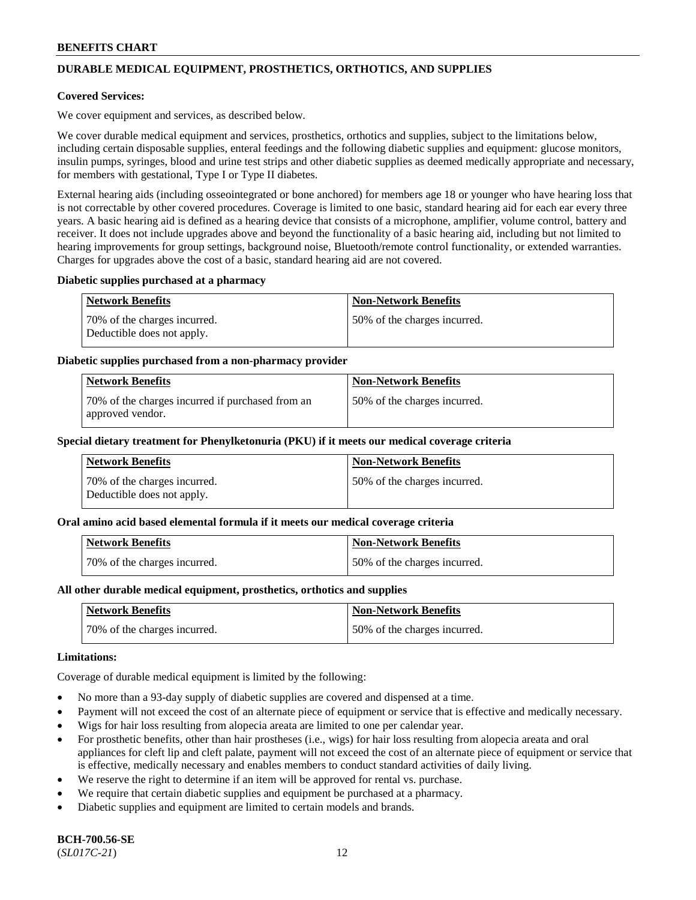# **DURABLE MEDICAL EQUIPMENT, PROSTHETICS, ORTHOTICS, AND SUPPLIES**

### **Covered Services:**

We cover equipment and services, as described below.

We cover durable medical equipment and services, prosthetics, orthotics and supplies, subject to the limitations below, including certain disposable supplies, enteral feedings and the following diabetic supplies and equipment: glucose monitors, insulin pumps, syringes, blood and urine test strips and other diabetic supplies as deemed medically appropriate and necessary, for members with gestational, Type I or Type II diabetes.

External hearing aids (including osseointegrated or bone anchored) for members age 18 or younger who have hearing loss that is not correctable by other covered procedures. Coverage is limited to one basic, standard hearing aid for each ear every three years. A basic hearing aid is defined as a hearing device that consists of a microphone, amplifier, volume control, battery and receiver. It does not include upgrades above and beyond the functionality of a basic hearing aid, including but not limited to hearing improvements for group settings, background noise, Bluetooth/remote control functionality, or extended warranties. Charges for upgrades above the cost of a basic, standard hearing aid are not covered.

#### **Diabetic supplies purchased at a pharmacy**

| <b>Network Benefits</b>                                     | <b>Non-Network Benefits</b>   |
|-------------------------------------------------------------|-------------------------------|
| 170% of the charges incurred.<br>Deductible does not apply. | 50\% of the charges incurred. |

#### **Diabetic supplies purchased from a non-pharmacy provider**

| <b>Network Benefits</b>                                              | <b>Non-Network Benefits</b>  |
|----------------------------------------------------------------------|------------------------------|
| 70% of the charges incurred if purchased from an<br>approved vendor. | 50% of the charges incurred. |

#### **Special dietary treatment for Phenylketonuria (PKU) if it meets our medical coverage criteria**

| Network Benefits                                           | <b>Non-Network Benefits</b>   |
|------------------------------------------------------------|-------------------------------|
| 70% of the charges incurred.<br>Deductible does not apply. | 150% of the charges incurred. |

#### **Oral amino acid based elemental formula if it meets our medical coverage criteria**

| <b>Network Benefits</b>      | <b>Non-Network Benefits</b>  |
|------------------------------|------------------------------|
| 70% of the charges incurred. | 50% of the charges incurred. |

#### **All other durable medical equipment, prosthetics, orthotics and supplies**

| Network Benefits             | <b>Non-Network Benefits</b>  |
|------------------------------|------------------------------|
| 70% of the charges incurred. | 50% of the charges incurred. |

#### **Limitations:**

Coverage of durable medical equipment is limited by the following:

- No more than a 93-day supply of diabetic supplies are covered and dispensed at a time.
- Payment will not exceed the cost of an alternate piece of equipment or service that is effective and medically necessary.
- Wigs for hair loss resulting from alopecia areata are limited to one per calendar year.
- For prosthetic benefits, other than hair prostheses (i.e., wigs) for hair loss resulting from alopecia areata and oral appliances for cleft lip and cleft palate, payment will not exceed the cost of an alternate piece of equipment or service that is effective, medically necessary and enables members to conduct standard activities of daily living.
- We reserve the right to determine if an item will be approved for rental vs. purchase.
- We require that certain diabetic supplies and equipment be purchased at a pharmacy.
- Diabetic supplies and equipment are limited to certain models and brands.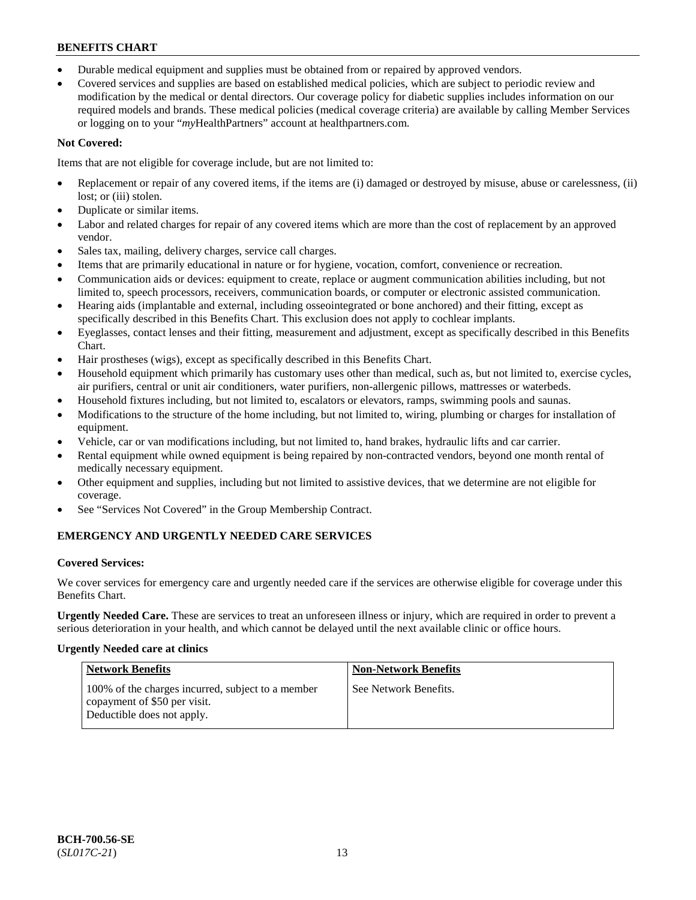- Durable medical equipment and supplies must be obtained from or repaired by approved vendors.
- Covered services and supplies are based on established medical policies, which are subject to periodic review and modification by the medical or dental directors. Our coverage policy for diabetic supplies includes information on our required models and brands. These medical policies (medical coverage criteria) are available by calling Member Services or logging on to your "*my*HealthPartners" account a[t healthpartners.com.](https://www.healthpartners.com/hp/index.html)

# **Not Covered:**

Items that are not eligible for coverage include, but are not limited to:

- Replacement or repair of any covered items, if the items are (i) damaged or destroyed by misuse, abuse or carelessness, (ii) lost; or (iii) stolen.
- Duplicate or similar items.
- Labor and related charges for repair of any covered items which are more than the cost of replacement by an approved vendor.
- Sales tax, mailing, delivery charges, service call charges.
- Items that are primarily educational in nature or for hygiene, vocation, comfort, convenience or recreation.
- Communication aids or devices: equipment to create, replace or augment communication abilities including, but not limited to, speech processors, receivers, communication boards, or computer or electronic assisted communication.
- Hearing aids (implantable and external, including osseointegrated or bone anchored) and their fitting, except as specifically described in this Benefits Chart. This exclusion does not apply to cochlear implants.
- Eyeglasses, contact lenses and their fitting, measurement and adjustment, except as specifically described in this Benefits Chart.
- Hair prostheses (wigs), except as specifically described in this Benefits Chart.
- Household equipment which primarily has customary uses other than medical, such as, but not limited to, exercise cycles, air purifiers, central or unit air conditioners, water purifiers, non-allergenic pillows, mattresses or waterbeds.
- Household fixtures including, but not limited to, escalators or elevators, ramps, swimming pools and saunas.
- Modifications to the structure of the home including, but not limited to, wiring, plumbing or charges for installation of equipment.
- Vehicle, car or van modifications including, but not limited to, hand brakes, hydraulic lifts and car carrier.
- Rental equipment while owned equipment is being repaired by non-contracted vendors, beyond one month rental of medically necessary equipment.
- Other equipment and supplies, including but not limited to assistive devices, that we determine are not eligible for coverage.
- See "Services Not Covered" in the Group Membership Contract.

# **EMERGENCY AND URGENTLY NEEDED CARE SERVICES**

# **Covered Services:**

We cover services for emergency care and urgently needed care if the services are otherwise eligible for coverage under this Benefits Chart.

**Urgently Needed Care.** These are services to treat an unforeseen illness or injury, which are required in order to prevent a serious deterioration in your health, and which cannot be delayed until the next available clinic or office hours.

# **Urgently Needed care at clinics**

| <b>Network Benefits</b>                                                                                         | <b>Non-Network Benefits</b> |
|-----------------------------------------------------------------------------------------------------------------|-----------------------------|
| 100% of the charges incurred, subject to a member<br>copayment of \$50 per visit.<br>Deductible does not apply. | See Network Benefits.       |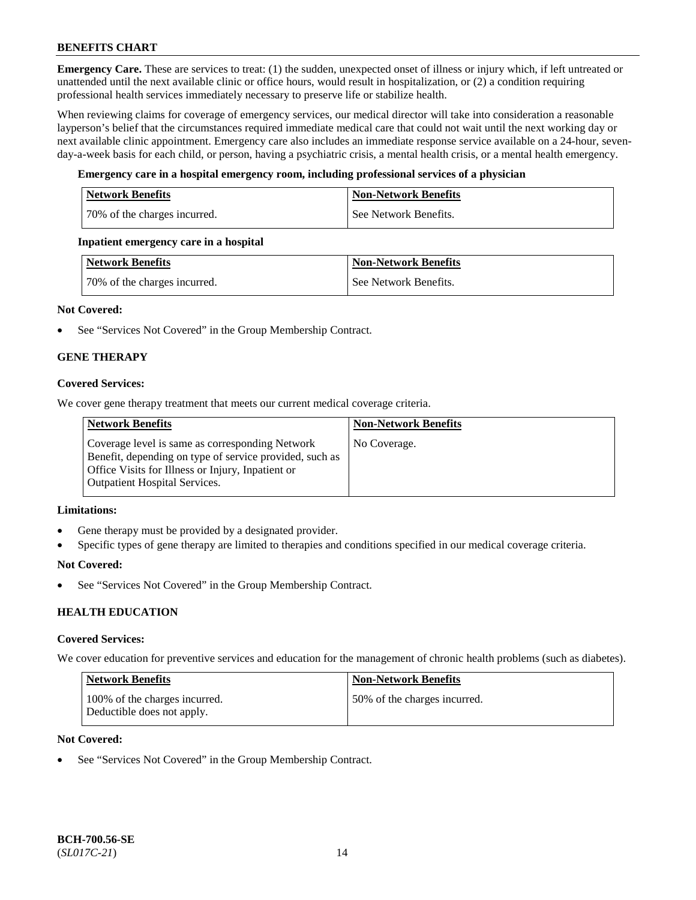**Emergency Care.** These are services to treat: (1) the sudden, unexpected onset of illness or injury which, if left untreated or unattended until the next available clinic or office hours, would result in hospitalization, or (2) a condition requiring professional health services immediately necessary to preserve life or stabilize health.

When reviewing claims for coverage of emergency services, our medical director will take into consideration a reasonable layperson's belief that the circumstances required immediate medical care that could not wait until the next working day or next available clinic appointment. Emergency care also includes an immediate response service available on a 24-hour, sevenday-a-week basis for each child, or person, having a psychiatric crisis, a mental health crisis, or a mental health emergency.

# **Emergency care in a hospital emergency room, including professional services of a physician**

| <b>Network Benefits</b>      | <b>Non-Network Benefits</b> |
|------------------------------|-----------------------------|
| 70% of the charges incurred. | See Network Benefits.       |

#### **Inpatient emergency care in a hospital**

| Network Benefits             | <b>Non-Network Benefits</b> |
|------------------------------|-----------------------------|
| 70% of the charges incurred. | See Network Benefits.       |

# **Not Covered:**

• See "Services Not Covered" in the Group Membership Contract.

# **GENE THERAPY**

# **Covered Services:**

We cover gene therapy treatment that meets our current medical coverage criteria.

| <b>Network Benefits</b>                                                                                                                                                                                 | <b>Non-Network Benefits</b> |
|---------------------------------------------------------------------------------------------------------------------------------------------------------------------------------------------------------|-----------------------------|
| Coverage level is same as corresponding Network<br>Benefit, depending on type of service provided, such as<br>Office Visits for Illness or Injury, Inpatient or<br><b>Outpatient Hospital Services.</b> | No Coverage.                |

#### **Limitations:**

- Gene therapy must be provided by a designated provider.
- Specific types of gene therapy are limited to therapies and conditions specified in our medical coverage criteria.

#### **Not Covered:**

See "Services Not Covered" in the Group Membership Contract.

# **HEALTH EDUCATION**

#### **Covered Services:**

We cover education for preventive services and education for the management of chronic health problems (such as diabetes).

| Network Benefits                                            | <b>Non-Network Benefits</b>  |
|-------------------------------------------------------------|------------------------------|
| 100% of the charges incurred.<br>Deductible does not apply. | 50% of the charges incurred. |

# **Not Covered:**

See "Services Not Covered" in the Group Membership Contract.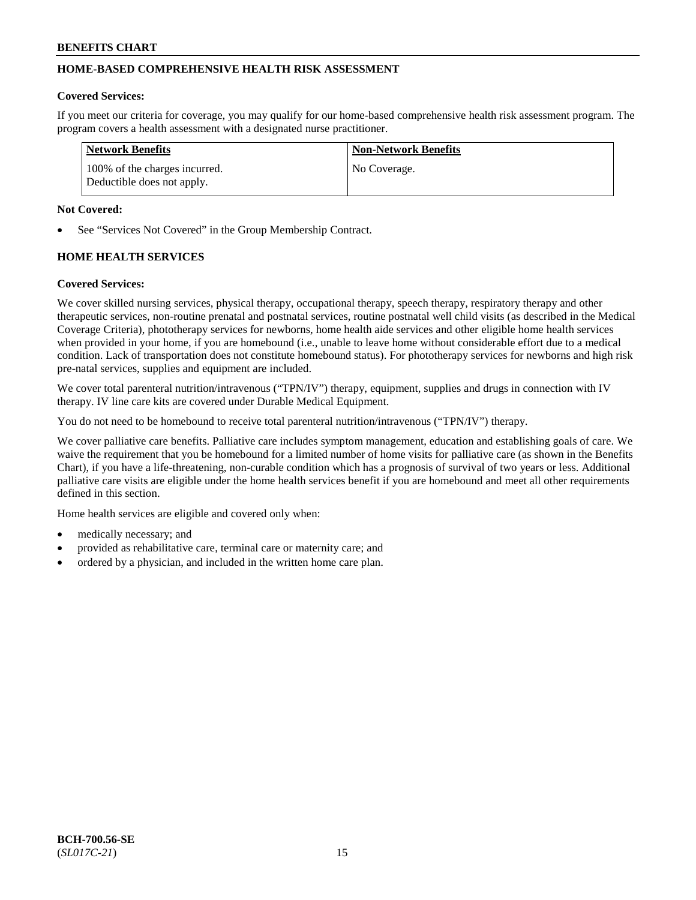# **HOME-BASED COMPREHENSIVE HEALTH RISK ASSESSMENT**

#### **Covered Services:**

If you meet our criteria for coverage, you may qualify for our home-based comprehensive health risk assessment program. The program covers a health assessment with a designated nurse practitioner.

| <b>Network Benefits</b>                                     | <b>Non-Network Benefits</b> |
|-------------------------------------------------------------|-----------------------------|
| 100% of the charges incurred.<br>Deductible does not apply. | No Coverage.                |

#### **Not Covered:**

See "Services Not Covered" in the Group Membership Contract.

# **HOME HEALTH SERVICES**

#### **Covered Services:**

We cover skilled nursing services, physical therapy, occupational therapy, speech therapy, respiratory therapy and other therapeutic services, non-routine prenatal and postnatal services, routine postnatal well child visits (as described in the Medical Coverage Criteria), phototherapy services for newborns, home health aide services and other eligible home health services when provided in your home, if you are homebound (i.e., unable to leave home without considerable effort due to a medical condition. Lack of transportation does not constitute homebound status). For phototherapy services for newborns and high risk pre-natal services, supplies and equipment are included.

We cover total parenteral nutrition/intravenous ("TPN/IV") therapy, equipment, supplies and drugs in connection with IV therapy. IV line care kits are covered under Durable Medical Equipment.

You do not need to be homebound to receive total parenteral nutrition/intravenous ("TPN/IV") therapy.

We cover palliative care benefits. Palliative care includes symptom management, education and establishing goals of care. We waive the requirement that you be homebound for a limited number of home visits for palliative care (as shown in the Benefits Chart), if you have a life-threatening, non-curable condition which has a prognosis of survival of two years or less. Additional palliative care visits are eligible under the home health services benefit if you are homebound and meet all other requirements defined in this section.

Home health services are eligible and covered only when:

- medically necessary; and
- provided as rehabilitative care, terminal care or maternity care; and
- ordered by a physician, and included in the written home care plan.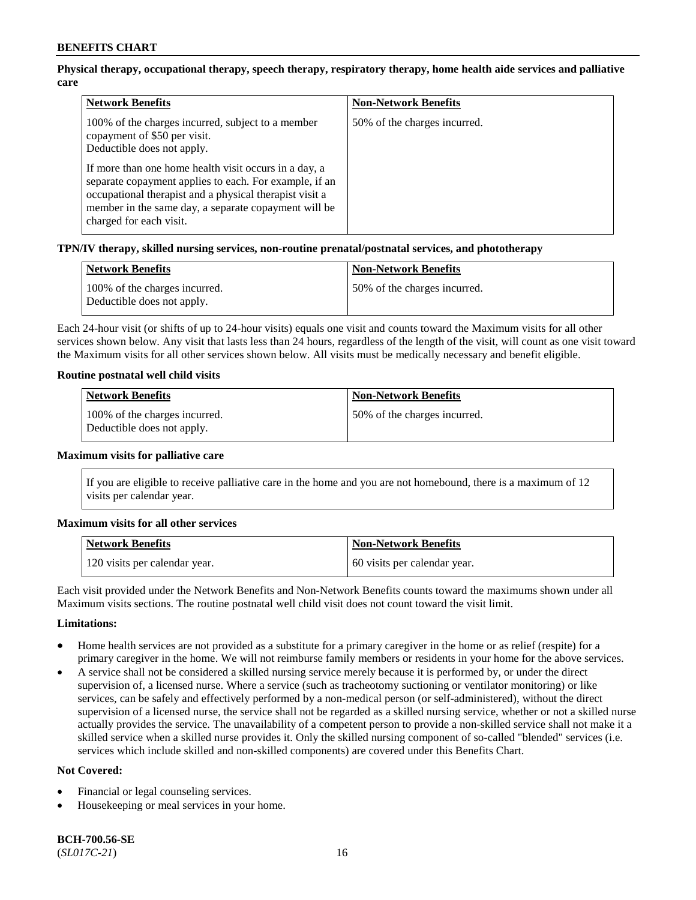# **Physical therapy, occupational therapy, speech therapy, respiratory therapy, home health aide services and palliative care**

| <b>Network Benefits</b>                                                                                                                                                                                                                                       | <b>Non-Network Benefits</b>  |
|---------------------------------------------------------------------------------------------------------------------------------------------------------------------------------------------------------------------------------------------------------------|------------------------------|
| 100% of the charges incurred, subject to a member<br>copayment of \$50 per visit.<br>Deductible does not apply.                                                                                                                                               | 50% of the charges incurred. |
| If more than one home health visit occurs in a day, a<br>separate copayment applies to each. For example, if an<br>occupational therapist and a physical therapist visit a<br>member in the same day, a separate copayment will be<br>charged for each visit. |                              |

# **TPN/IV therapy, skilled nursing services, non-routine prenatal/postnatal services, and phototherapy**

| <b>Network Benefits</b>                                     | <b>Non-Network Benefits</b>   |
|-------------------------------------------------------------|-------------------------------|
| 100% of the charges incurred.<br>Deductible does not apply. | 150% of the charges incurred. |

Each 24-hour visit (or shifts of up to 24-hour visits) equals one visit and counts toward the Maximum visits for all other services shown below. Any visit that lasts less than 24 hours, regardless of the length of the visit, will count as one visit toward the Maximum visits for all other services shown below. All visits must be medically necessary and benefit eligible.

#### **Routine postnatal well child visits**

| Network Benefits                                            | <b>Non-Network Benefits</b>   |
|-------------------------------------------------------------|-------------------------------|
| 100% of the charges incurred.<br>Deductible does not apply. | 150% of the charges incurred. |

#### **Maximum visits for palliative care**

If you are eligible to receive palliative care in the home and you are not homebound, there is a maximum of 12 visits per calendar year.

#### **Maximum visits for all other services**

| <b>Network Benefits</b>       | <b>Non-Network Benefits</b>  |
|-------------------------------|------------------------------|
| 120 visits per calendar year. | 60 visits per calendar year. |

Each visit provided under the Network Benefits and Non-Network Benefits counts toward the maximums shown under all Maximum visits sections. The routine postnatal well child visit does not count toward the visit limit.

# **Limitations:**

- Home health services are not provided as a substitute for a primary caregiver in the home or as relief (respite) for a primary caregiver in the home. We will not reimburse family members or residents in your home for the above services.
- A service shall not be considered a skilled nursing service merely because it is performed by, or under the direct supervision of, a licensed nurse. Where a service (such as tracheotomy suctioning or ventilator monitoring) or like services, can be safely and effectively performed by a non-medical person (or self-administered), without the direct supervision of a licensed nurse, the service shall not be regarded as a skilled nursing service, whether or not a skilled nurse actually provides the service. The unavailability of a competent person to provide a non-skilled service shall not make it a skilled service when a skilled nurse provides it. Only the skilled nursing component of so-called "blended" services (i.e. services which include skilled and non-skilled components) are covered under this Benefits Chart.

#### **Not Covered:**

- Financial or legal counseling services.
- Housekeeping or meal services in your home.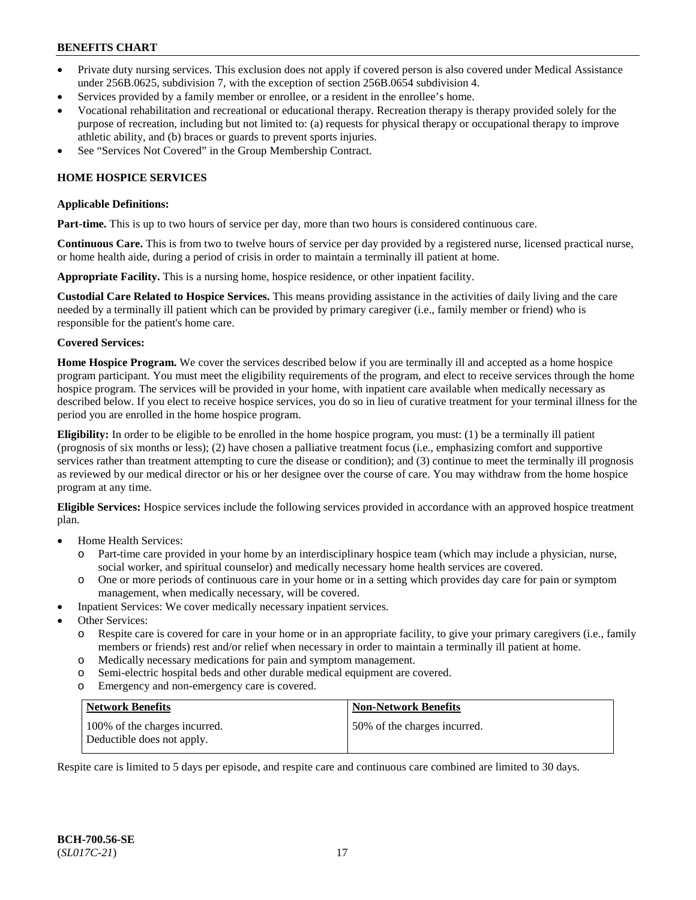- Private duty nursing services. This exclusion does not apply if covered person is also covered under Medical Assistance under 256B.0625, subdivision 7, with the exception of section 256B.0654 subdivision 4.
- Services provided by a family member or enrollee, or a resident in the enrollee's home.
- Vocational rehabilitation and recreational or educational therapy. Recreation therapy is therapy provided solely for the purpose of recreation, including but not limited to: (a) requests for physical therapy or occupational therapy to improve athletic ability, and (b) braces or guards to prevent sports injuries.
- See "Services Not Covered" in the Group Membership Contract.

# **HOME HOSPICE SERVICES**

#### **Applicable Definitions:**

**Part-time.** This is up to two hours of service per day, more than two hours is considered continuous care.

**Continuous Care.** This is from two to twelve hours of service per day provided by a registered nurse, licensed practical nurse, or home health aide, during a period of crisis in order to maintain a terminally ill patient at home.

**Appropriate Facility.** This is a nursing home, hospice residence, or other inpatient facility.

**Custodial Care Related to Hospice Services.** This means providing assistance in the activities of daily living and the care needed by a terminally ill patient which can be provided by primary caregiver (i.e., family member or friend) who is responsible for the patient's home care.

#### **Covered Services:**

**Home Hospice Program.** We cover the services described below if you are terminally ill and accepted as a home hospice program participant. You must meet the eligibility requirements of the program, and elect to receive services through the home hospice program. The services will be provided in your home, with inpatient care available when medically necessary as described below. If you elect to receive hospice services, you do so in lieu of curative treatment for your terminal illness for the period you are enrolled in the home hospice program.

**Eligibility:** In order to be eligible to be enrolled in the home hospice program, you must: (1) be a terminally ill patient (prognosis of six months or less); (2) have chosen a palliative treatment focus (i.e., emphasizing comfort and supportive services rather than treatment attempting to cure the disease or condition); and (3) continue to meet the terminally ill prognosis as reviewed by our medical director or his or her designee over the course of care. You may withdraw from the home hospice program at any time.

**Eligible Services:** Hospice services include the following services provided in accordance with an approved hospice treatment plan.

- Home Health Services:
	- o Part-time care provided in your home by an interdisciplinary hospice team (which may include a physician, nurse, social worker, and spiritual counselor) and medically necessary home health services are covered.
	- o One or more periods of continuous care in your home or in a setting which provides day care for pain or symptom management, when medically necessary, will be covered.
- Inpatient Services: We cover medically necessary inpatient services.
- Other Services:
	- o Respite care is covered for care in your home or in an appropriate facility, to give your primary caregivers (i.e., family members or friends) rest and/or relief when necessary in order to maintain a terminally ill patient at home.
	- o Medically necessary medications for pain and symptom management.
	- o Semi-electric hospital beds and other durable medical equipment are covered.
	- o Emergency and non-emergency care is covered.

| Network Benefits                                            | <b>Non-Network Benefits</b>  |
|-------------------------------------------------------------|------------------------------|
| 100% of the charges incurred.<br>Deductible does not apply. | 50% of the charges incurred. |

Respite care is limited to 5 days per episode, and respite care and continuous care combined are limited to 30 days.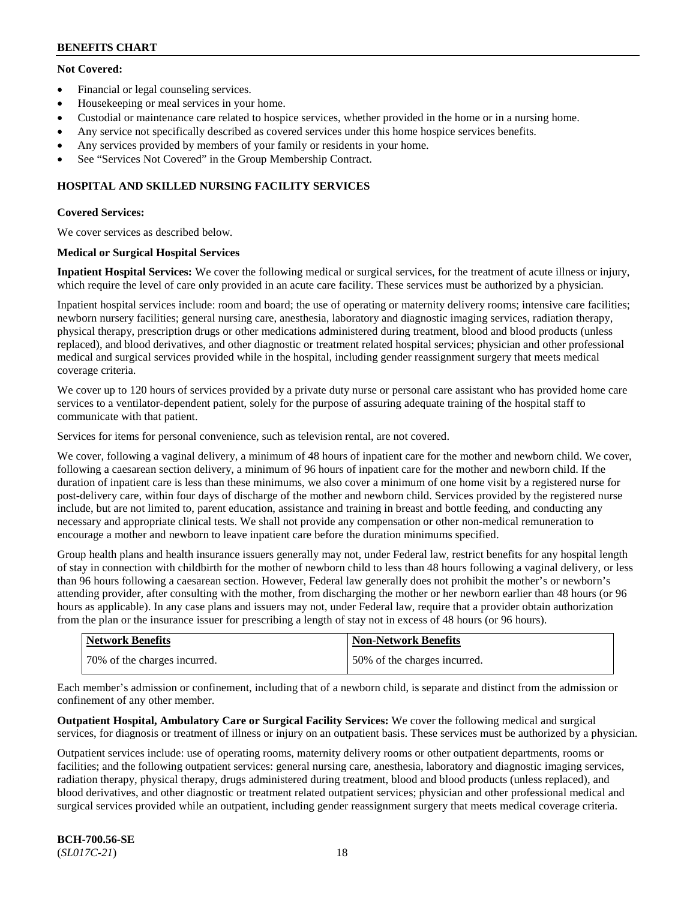# **Not Covered:**

- Financial or legal counseling services.
- Housekeeping or meal services in your home.
- Custodial or maintenance care related to hospice services, whether provided in the home or in a nursing home.
- Any service not specifically described as covered services under this home hospice services benefits.
- Any services provided by members of your family or residents in your home.
- See "Services Not Covered" in the Group Membership Contract.

# **HOSPITAL AND SKILLED NURSING FACILITY SERVICES**

# **Covered Services:**

We cover services as described below.

# **Medical or Surgical Hospital Services**

**Inpatient Hospital Services:** We cover the following medical or surgical services, for the treatment of acute illness or injury, which require the level of care only provided in an acute care facility. These services must be authorized by a physician.

Inpatient hospital services include: room and board; the use of operating or maternity delivery rooms; intensive care facilities; newborn nursery facilities; general nursing care, anesthesia, laboratory and diagnostic imaging services, radiation therapy, physical therapy, prescription drugs or other medications administered during treatment, blood and blood products (unless replaced), and blood derivatives, and other diagnostic or treatment related hospital services; physician and other professional medical and surgical services provided while in the hospital, including gender reassignment surgery that meets medical coverage criteria.

We cover up to 120 hours of services provided by a private duty nurse or personal care assistant who has provided home care services to a ventilator-dependent patient, solely for the purpose of assuring adequate training of the hospital staff to communicate with that patient.

Services for items for personal convenience, such as television rental, are not covered.

We cover, following a vaginal delivery, a minimum of 48 hours of inpatient care for the mother and newborn child. We cover, following a caesarean section delivery, a minimum of 96 hours of inpatient care for the mother and newborn child. If the duration of inpatient care is less than these minimums, we also cover a minimum of one home visit by a registered nurse for post-delivery care, within four days of discharge of the mother and newborn child. Services provided by the registered nurse include, but are not limited to, parent education, assistance and training in breast and bottle feeding, and conducting any necessary and appropriate clinical tests. We shall not provide any compensation or other non-medical remuneration to encourage a mother and newborn to leave inpatient care before the duration minimums specified.

Group health plans and health insurance issuers generally may not, under Federal law, restrict benefits for any hospital length of stay in connection with childbirth for the mother of newborn child to less than 48 hours following a vaginal delivery, or less than 96 hours following a caesarean section. However, Federal law generally does not prohibit the mother's or newborn's attending provider, after consulting with the mother, from discharging the mother or her newborn earlier than 48 hours (or 96 hours as applicable). In any case plans and issuers may not, under Federal law, require that a provider obtain authorization from the plan or the insurance issuer for prescribing a length of stay not in excess of 48 hours (or 96 hours).

| <b>Network Benefits</b>      | <b>Non-Network Benefits</b>  |
|------------------------------|------------------------------|
| 70% of the charges incurred. | 50% of the charges incurred. |

Each member's admission or confinement, including that of a newborn child, is separate and distinct from the admission or confinement of any other member.

**Outpatient Hospital, Ambulatory Care or Surgical Facility Services:** We cover the following medical and surgical services, for diagnosis or treatment of illness or injury on an outpatient basis. These services must be authorized by a physician.

Outpatient services include: use of operating rooms, maternity delivery rooms or other outpatient departments, rooms or facilities; and the following outpatient services: general nursing care, anesthesia, laboratory and diagnostic imaging services, radiation therapy, physical therapy, drugs administered during treatment, blood and blood products (unless replaced), and blood derivatives, and other diagnostic or treatment related outpatient services; physician and other professional medical and surgical services provided while an outpatient, including gender reassignment surgery that meets medical coverage criteria.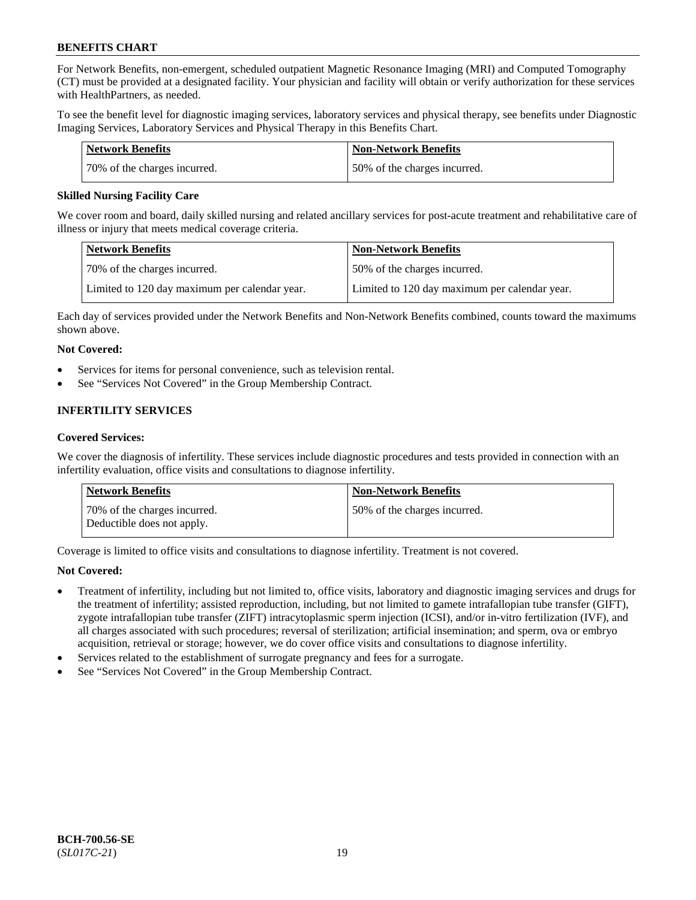For Network Benefits, non-emergent, scheduled outpatient Magnetic Resonance Imaging (MRI) and Computed Tomography (CT) must be provided at a designated facility. Your physician and facility will obtain or verify authorization for these services with HealthPartners, as needed.

To see the benefit level for diagnostic imaging services, laboratory services and physical therapy, see benefits under Diagnostic Imaging Services, Laboratory Services and Physical Therapy in this Benefits Chart.

| <b>Network Benefits</b>      | <b>Non-Network Benefits</b>  |
|------------------------------|------------------------------|
| 70% of the charges incurred. | 50% of the charges incurred. |

# **Skilled Nursing Facility Care**

We cover room and board, daily skilled nursing and related ancillary services for post-acute treatment and rehabilitative care of illness or injury that meets medical coverage criteria.

| <b>Network Benefits</b>                       | <b>Non-Network Benefits</b>                   |
|-----------------------------------------------|-----------------------------------------------|
| 70% of the charges incurred.                  | 50% of the charges incurred.                  |
| Limited to 120 day maximum per calendar year. | Limited to 120 day maximum per calendar year. |

Each day of services provided under the Network Benefits and Non-Network Benefits combined, counts toward the maximums shown above.

# **Not Covered:**

- Services for items for personal convenience, such as television rental.
- See "Services Not Covered" in the Group Membership Contract.

# **INFERTILITY SERVICES**

# **Covered Services:**

We cover the diagnosis of infertility. These services include diagnostic procedures and tests provided in connection with an infertility evaluation, office visits and consultations to diagnose infertility.

| <b>Network Benefits</b>                                    | <b>Non-Network Benefits</b>  |
|------------------------------------------------------------|------------------------------|
| 70% of the charges incurred.<br>Deductible does not apply. | 50% of the charges incurred. |

Coverage is limited to office visits and consultations to diagnose infertility. Treatment is not covered.

# **Not Covered:**

- Treatment of infertility, including but not limited to, office visits, laboratory and diagnostic imaging services and drugs for the treatment of infertility; assisted reproduction, including, but not limited to gamete intrafallopian tube transfer (GIFT), zygote intrafallopian tube transfer (ZIFT) intracytoplasmic sperm injection (ICSI), and/or in-vitro fertilization (IVF), and all charges associated with such procedures; reversal of sterilization; artificial insemination; and sperm, ova or embryo acquisition, retrieval or storage; however, we do cover office visits and consultations to diagnose infertility.
- Services related to the establishment of surrogate pregnancy and fees for a surrogate.
- See "Services Not Covered" in the Group Membership Contract.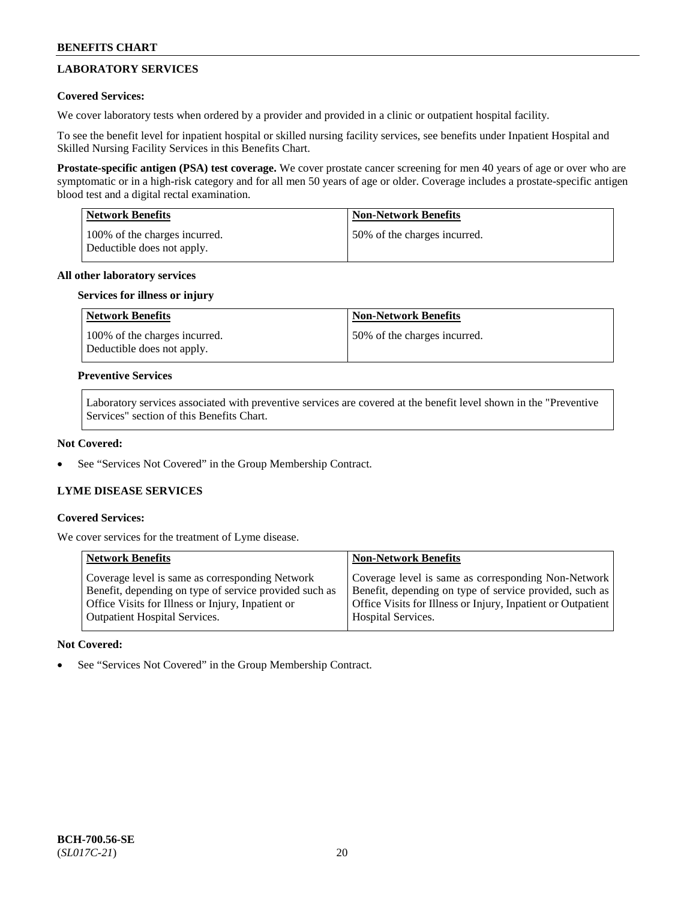# **LABORATORY SERVICES**

# **Covered Services:**

We cover laboratory tests when ordered by a provider and provided in a clinic or outpatient hospital facility.

To see the benefit level for inpatient hospital or skilled nursing facility services, see benefits under Inpatient Hospital and Skilled Nursing Facility Services in this Benefits Chart.

**Prostate-specific antigen (PSA) test coverage.** We cover prostate cancer screening for men 40 years of age or over who are symptomatic or in a high-risk category and for all men 50 years of age or older. Coverage includes a prostate-specific antigen blood test and a digital rectal examination.

| <b>Network Benefits</b>                                     | <b>Non-Network Benefits</b>  |
|-------------------------------------------------------------|------------------------------|
| 100% of the charges incurred.<br>Deductible does not apply. | 50% of the charges incurred. |

# **All other laboratory services**

# **Services for illness or injury**

| Network Benefits                                            | <b>Non-Network Benefits</b>  |
|-------------------------------------------------------------|------------------------------|
| 100% of the charges incurred.<br>Deductible does not apply. | 50% of the charges incurred. |

### **Preventive Services**

Laboratory services associated with preventive services are covered at the benefit level shown in the "Preventive Services" section of this Benefits Chart.

### **Not Covered:**

See "Services Not Covered" in the Group Membership Contract.

# **LYME DISEASE SERVICES**

#### **Covered Services:**

We cover services for the treatment of Lyme disease.

| <b>Network Benefits</b>                                                                                                                                        | <b>Non-Network Benefits</b>                                                                                                                                                    |
|----------------------------------------------------------------------------------------------------------------------------------------------------------------|--------------------------------------------------------------------------------------------------------------------------------------------------------------------------------|
| Coverage level is same as corresponding Network<br>Benefit, depending on type of service provided such as<br>Office Visits for Illness or Injury, Inpatient or | Coverage level is same as corresponding Non-Network<br>Benefit, depending on type of service provided, such as<br>Office Visits for Illness or Injury, Inpatient or Outpatient |
| <b>Outpatient Hospital Services.</b>                                                                                                                           | <b>Hospital Services.</b>                                                                                                                                                      |

# **Not Covered:**

See "Services Not Covered" in the Group Membership Contract.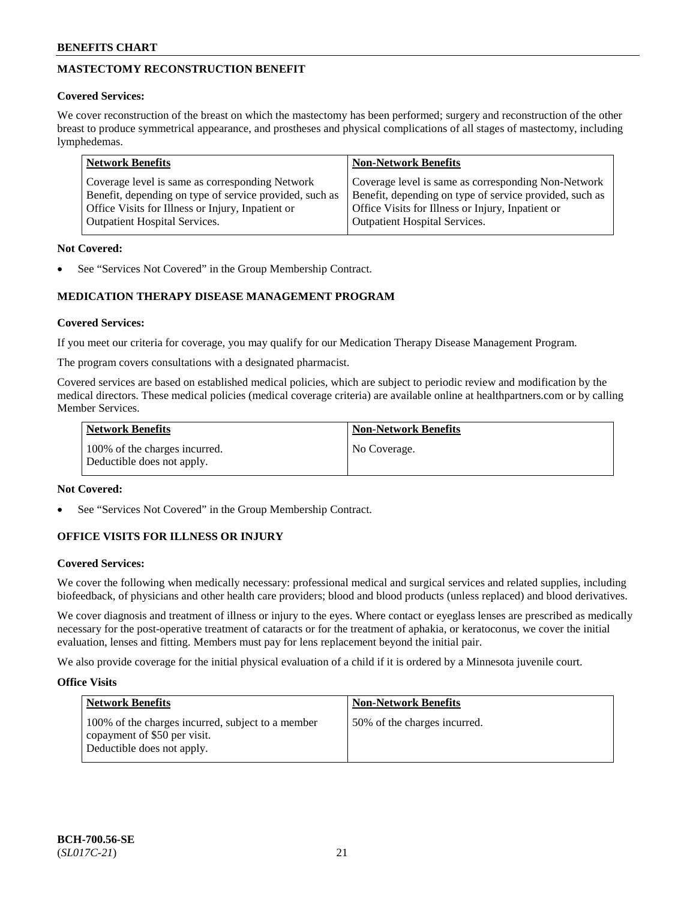# **MASTECTOMY RECONSTRUCTION BENEFIT**

# **Covered Services:**

We cover reconstruction of the breast on which the mastectomy has been performed; surgery and reconstruction of the other breast to produce symmetrical appearance, and prostheses and physical complications of all stages of mastectomy, including lymphedemas.

| <b>Network Benefits</b>                                 | <b>Non-Network Benefits</b>                             |
|---------------------------------------------------------|---------------------------------------------------------|
| Coverage level is same as corresponding Network         | Coverage level is same as corresponding Non-Network     |
| Benefit, depending on type of service provided, such as | Benefit, depending on type of service provided, such as |
| Office Visits for Illness or Injury, Inpatient or       | Office Visits for Illness or Injury, Inpatient or       |
| <b>Outpatient Hospital Services.</b>                    | <b>Outpatient Hospital Services.</b>                    |

# **Not Covered:**

See "Services Not Covered" in the Group Membership Contract.

# **MEDICATION THERAPY DISEASE MANAGEMENT PROGRAM**

# **Covered Services:**

If you meet our criteria for coverage, you may qualify for our Medication Therapy Disease Management Program.

The program covers consultations with a designated pharmacist.

Covered services are based on established medical policies, which are subject to periodic review and modification by the medical directors. These medical policies (medical coverage criteria) are available online at [healthpartners.com](https://www.healthpartners.com/hp/index.html) or by calling Member Services.

| Network Benefits                                            | <b>Non-Network Benefits</b> |
|-------------------------------------------------------------|-----------------------------|
| 100% of the charges incurred.<br>Deductible does not apply. | No Coverage.                |

# **Not Covered:**

See "Services Not Covered" in the Group Membership Contract.

# **OFFICE VISITS FOR ILLNESS OR INJURY**

# **Covered Services:**

We cover the following when medically necessary: professional medical and surgical services and related supplies, including biofeedback, of physicians and other health care providers; blood and blood products (unless replaced) and blood derivatives.

We cover diagnosis and treatment of illness or injury to the eyes. Where contact or eyeglass lenses are prescribed as medically necessary for the post-operative treatment of cataracts or for the treatment of aphakia, or keratoconus, we cover the initial evaluation, lenses and fitting. Members must pay for lens replacement beyond the initial pair.

We also provide coverage for the initial physical evaluation of a child if it is ordered by a Minnesota juvenile court.

# **Office Visits**

| <b>Network Benefits</b>                                                                                         | <b>Non-Network Benefits</b>  |
|-----------------------------------------------------------------------------------------------------------------|------------------------------|
| 100% of the charges incurred, subject to a member<br>copayment of \$50 per visit.<br>Deductible does not apply. | 50% of the charges incurred. |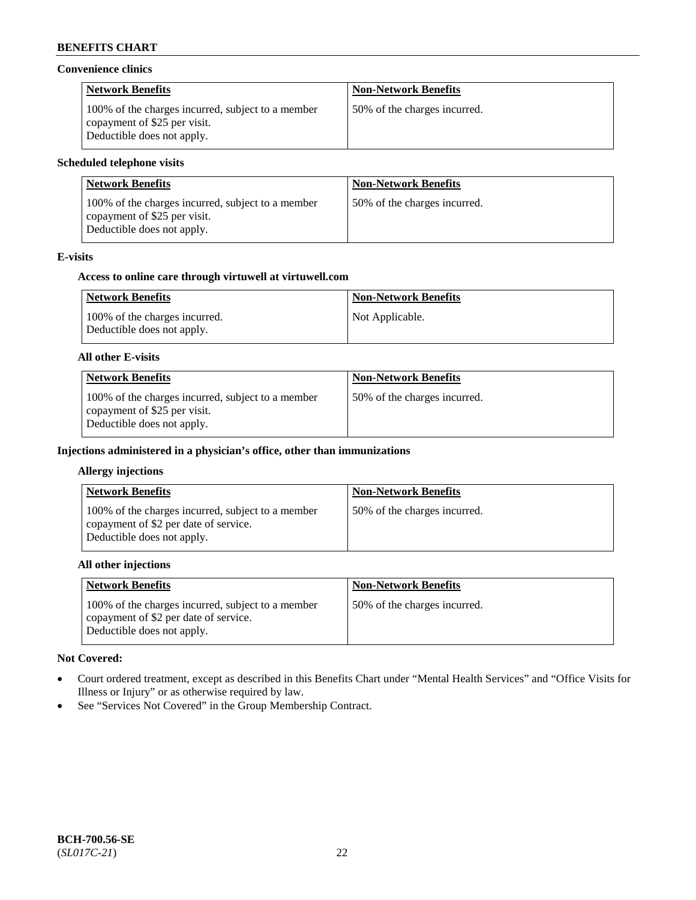### **Convenience clinics**

| <b>Network Benefits</b>                                                                                         | <b>Non-Network Benefits</b>  |
|-----------------------------------------------------------------------------------------------------------------|------------------------------|
| 100% of the charges incurred, subject to a member<br>copayment of \$25 per visit.<br>Deductible does not apply. | 50% of the charges incurred. |

# **Scheduled telephone visits**

| <b>Network Benefits</b>                                                                                         | <b>Non-Network Benefits</b>  |
|-----------------------------------------------------------------------------------------------------------------|------------------------------|
| 100% of the charges incurred, subject to a member<br>copayment of \$25 per visit.<br>Deductible does not apply. | 50% of the charges incurred. |

# **E-visits**

### **Access to online care through virtuwell at [virtuwell.com](https://www.virtuwell.com/)**

| <b>Network Benefits</b>                                     | <b>Non-Network Benefits</b> |
|-------------------------------------------------------------|-----------------------------|
| 100% of the charges incurred.<br>Deductible does not apply. | Not Applicable.             |

# **All other E-visits**

| <b>Network Benefits</b>                                                                                         | <b>Non-Network Benefits</b>  |
|-----------------------------------------------------------------------------------------------------------------|------------------------------|
| 100% of the charges incurred, subject to a member<br>copayment of \$25 per visit.<br>Deductible does not apply. | 50% of the charges incurred. |

# **Injections administered in a physician's office, other than immunizations**

#### **Allergy injections**

| <b>Network Benefits</b>                                                                                                  | <b>Non-Network Benefits</b>  |
|--------------------------------------------------------------------------------------------------------------------------|------------------------------|
| 100% of the charges incurred, subject to a member<br>copayment of \$2 per date of service.<br>Deductible does not apply. | 50% of the charges incurred. |

#### **All other injections**

| <b>Network Benefits</b>                                                                                                  | <b>Non-Network Benefits</b>  |
|--------------------------------------------------------------------------------------------------------------------------|------------------------------|
| 100% of the charges incurred, subject to a member<br>copayment of \$2 per date of service.<br>Deductible does not apply. | 50% of the charges incurred. |

# **Not Covered:**

- Court ordered treatment, except as described in this Benefits Chart under "Mental Health Services" and "Office Visits for Illness or Injury" or as otherwise required by law.
- See "Services Not Covered" in the Group Membership Contract.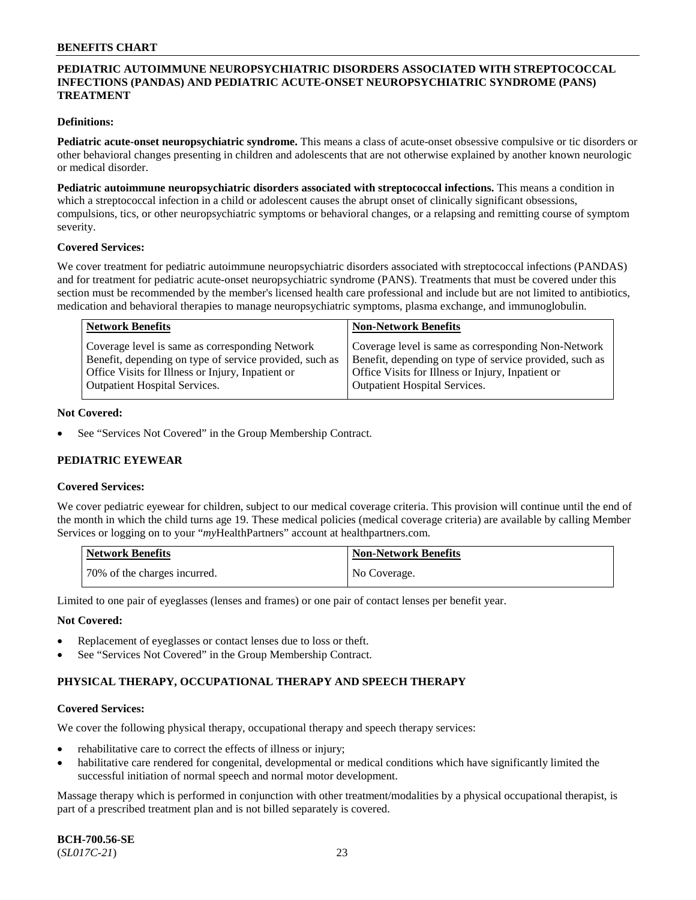# **PEDIATRIC AUTOIMMUNE NEUROPSYCHIATRIC DISORDERS ASSOCIATED WITH STREPTOCOCCAL INFECTIONS (PANDAS) AND PEDIATRIC ACUTE-ONSET NEUROPSYCHIATRIC SYNDROME (PANS) TREATMENT**

### **Definitions:**

**Pediatric acute-onset neuropsychiatric syndrome.** This means a class of acute-onset obsessive compulsive or tic disorders or other behavioral changes presenting in children and adolescents that are not otherwise explained by another known neurologic or medical disorder.

**Pediatric autoimmune neuropsychiatric disorders associated with streptococcal infections.** This means a condition in which a streptococcal infection in a child or adolescent causes the abrupt onset of clinically significant obsessions, compulsions, tics, or other neuropsychiatric symptoms or behavioral changes, or a relapsing and remitting course of symptom severity.

#### **Covered Services:**

We cover treatment for pediatric autoimmune neuropsychiatric disorders associated with streptococcal infections (PANDAS) and for treatment for pediatric acute-onset neuropsychiatric syndrome (PANS). Treatments that must be covered under this section must be recommended by the member's licensed health care professional and include but are not limited to antibiotics, medication and behavioral therapies to manage neuropsychiatric symptoms, plasma exchange, and immunoglobulin.

| <b>Network Benefits</b>                                 | <b>Non-Network Benefits</b>                             |
|---------------------------------------------------------|---------------------------------------------------------|
| Coverage level is same as corresponding Network         | Coverage level is same as corresponding Non-Network     |
| Benefit, depending on type of service provided, such as | Benefit, depending on type of service provided, such as |
| Office Visits for Illness or Injury, Inpatient or       | Office Visits for Illness or Injury, Inpatient or       |
| <b>Outpatient Hospital Services.</b>                    | <b>Outpatient Hospital Services.</b>                    |

#### **Not Covered:**

See "Services Not Covered" in the Group Membership Contract.

# **PEDIATRIC EYEWEAR**

#### **Covered Services:**

We cover pediatric eyewear for children, subject to our medical coverage criteria. This provision will continue until the end of the month in which the child turns age 19. These medical policies (medical coverage criteria) are available by calling Member Services or logging on to your "*my*HealthPartners" account at [healthpartners.com.](https://www.healthpartners.com/hp/index.html)

| Network Benefits             | <b>Non-Network Benefits</b> |
|------------------------------|-----------------------------|
| 70% of the charges incurred. | No Coverage.                |

Limited to one pair of eyeglasses (lenses and frames) or one pair of contact lenses per benefit year.

#### **Not Covered:**

- Replacement of eyeglasses or contact lenses due to loss or theft.
- See "Services Not Covered" in the Group Membership Contract.

# **PHYSICAL THERAPY, OCCUPATIONAL THERAPY AND SPEECH THERAPY**

#### **Covered Services:**

We cover the following physical therapy, occupational therapy and speech therapy services:

- rehabilitative care to correct the effects of illness or injury;
- habilitative care rendered for congenital, developmental or medical conditions which have significantly limited the successful initiation of normal speech and normal motor development.

Massage therapy which is performed in conjunction with other treatment/modalities by a physical occupational therapist, is part of a prescribed treatment plan and is not billed separately is covered.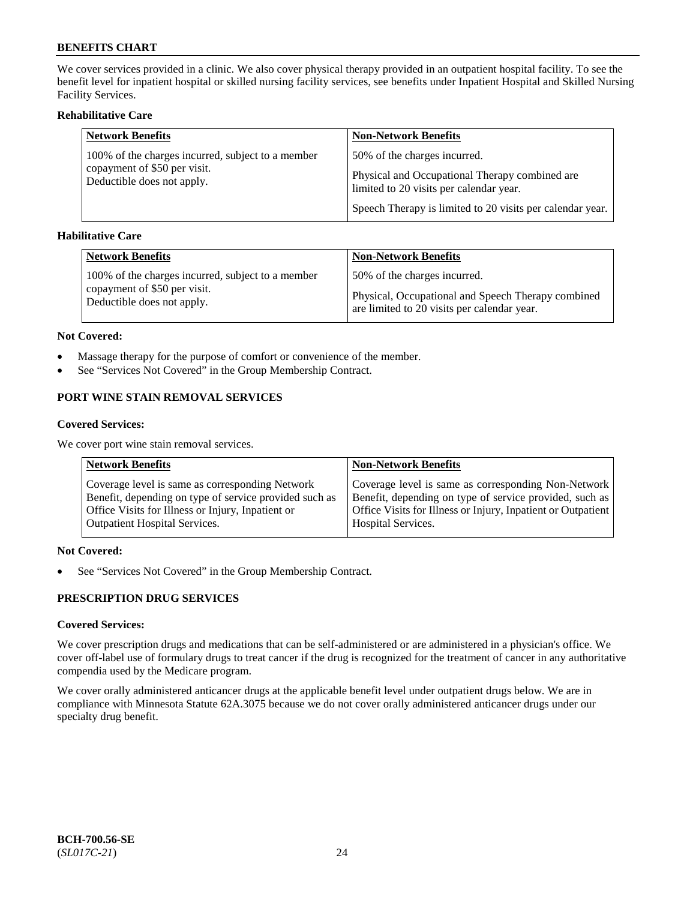We cover services provided in a clinic. We also cover physical therapy provided in an outpatient hospital facility. To see the benefit level for inpatient hospital or skilled nursing facility services, see benefits under Inpatient Hospital and Skilled Nursing Facility Services.

# **Rehabilitative Care**

| <b>Network Benefits</b>                                    | <b>Non-Network Benefits</b>                                                               |
|------------------------------------------------------------|-------------------------------------------------------------------------------------------|
| 100% of the charges incurred, subject to a member          | 50% of the charges incurred.                                                              |
| copayment of \$50 per visit.<br>Deductible does not apply. | Physical and Occupational Therapy combined are<br>limited to 20 visits per calendar year. |
|                                                            | Speech Therapy is limited to 20 visits per calendar year.                                 |

# **Habilitative Care**

| <b>Network Benefits</b>                           | <b>Non-Network Benefits</b>                        |
|---------------------------------------------------|----------------------------------------------------|
| 100% of the charges incurred, subject to a member | 50% of the charges incurred.                       |
| copayment of \$50 per visit.                      | Physical, Occupational and Speech Therapy combined |
| Deductible does not apply.                        | are limited to 20 visits per calendar year.        |

#### **Not Covered:**

- Massage therapy for the purpose of comfort or convenience of the member.
- See "Services Not Covered" in the Group Membership Contract.

# **PORT WINE STAIN REMOVAL SERVICES**

#### **Covered Services:**

We cover port wine stain removal services.

| <b>Network Benefits</b>                                | <b>Non-Network Benefits</b>                                  |
|--------------------------------------------------------|--------------------------------------------------------------|
| Coverage level is same as corresponding Network        | Coverage level is same as corresponding Non-Network          |
| Benefit, depending on type of service provided such as | Benefit, depending on type of service provided, such as      |
| Office Visits for Illness or Injury, Inpatient or      | Office Visits for Illness or Injury, Inpatient or Outpatient |
| <b>Outpatient Hospital Services.</b>                   | <b>Hospital Services.</b>                                    |

# **Not Covered:**

• See "Services Not Covered" in the Group Membership Contract.

# **PRESCRIPTION DRUG SERVICES**

# **Covered Services:**

We cover prescription drugs and medications that can be self-administered or are administered in a physician's office. We cover off-label use of formulary drugs to treat cancer if the drug is recognized for the treatment of cancer in any authoritative compendia used by the Medicare program.

We cover orally administered anticancer drugs at the applicable benefit level under outpatient drugs below. We are in compliance with Minnesota Statute 62A.3075 because we do not cover orally administered anticancer drugs under our specialty drug benefit.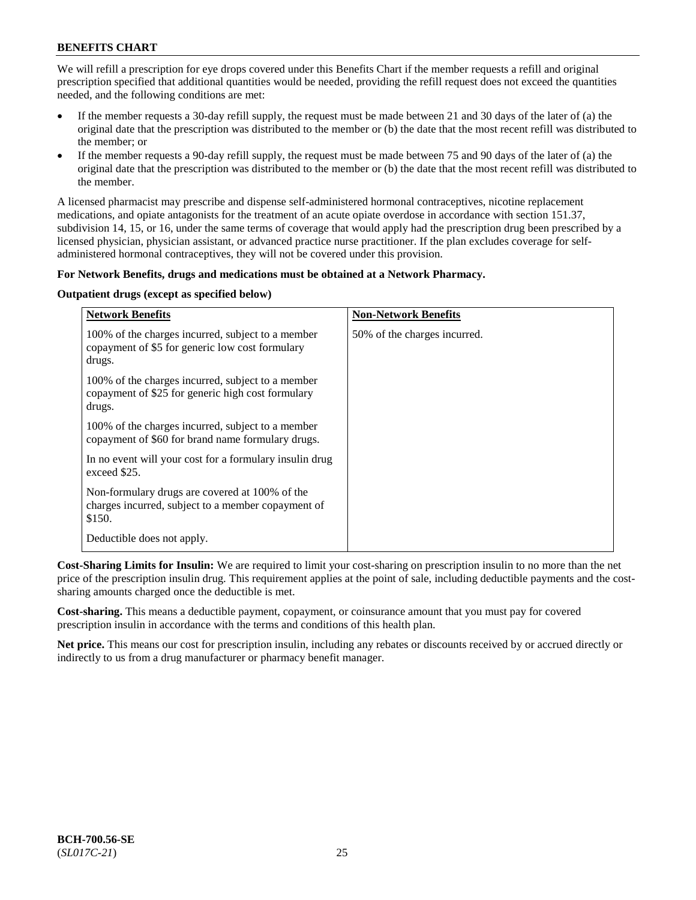We will refill a prescription for eye drops covered under this Benefits Chart if the member requests a refill and original prescription specified that additional quantities would be needed, providing the refill request does not exceed the quantities needed, and the following conditions are met:

- If the member requests a 30-day refill supply, the request must be made between 21 and 30 days of the later of (a) the original date that the prescription was distributed to the member or (b) the date that the most recent refill was distributed to the member; or
- If the member requests a 90-day refill supply, the request must be made between 75 and 90 days of the later of (a) the original date that the prescription was distributed to the member or (b) the date that the most recent refill was distributed to the member.

A licensed pharmacist may prescribe and dispense self-administered hormonal contraceptives, nicotine replacement medications, and opiate antagonists for the treatment of an acute opiate overdose in accordance with section 151.37, subdivision 14, 15, or 16, under the same terms of coverage that would apply had the prescription drug been prescribed by a licensed physician, physician assistant, or advanced practice nurse practitioner. If the plan excludes coverage for selfadministered hormonal contraceptives, they will not be covered under this provision.

# **For Network Benefits, drugs and medications must be obtained at a Network Pharmacy.**

# **Outpatient drugs (except as specified below)**

| <b>Network Benefits</b>                                                                                          | <b>Non-Network Benefits</b>  |
|------------------------------------------------------------------------------------------------------------------|------------------------------|
| 100% of the charges incurred, subject to a member<br>copayment of \$5 for generic low cost formulary<br>drugs.   | 50% of the charges incurred. |
| 100% of the charges incurred, subject to a member<br>copayment of \$25 for generic high cost formulary<br>drugs. |                              |
| 100% of the charges incurred, subject to a member<br>copayment of \$60 for brand name formulary drugs.           |                              |
| In no event will your cost for a formulary insulin drug<br>exceed \$25.                                          |                              |
| Non-formulary drugs are covered at 100% of the<br>charges incurred, subject to a member copayment of<br>\$150.   |                              |
| Deductible does not apply.                                                                                       |                              |

**Cost-Sharing Limits for Insulin:** We are required to limit your cost-sharing on prescription insulin to no more than the net price of the prescription insulin drug. This requirement applies at the point of sale, including deductible payments and the costsharing amounts charged once the deductible is met.

**Cost-sharing.** This means a deductible payment, copayment, or coinsurance amount that you must pay for covered prescription insulin in accordance with the terms and conditions of this health plan.

**Net price.** This means our cost for prescription insulin, including any rebates or discounts received by or accrued directly or indirectly to us from a drug manufacturer or pharmacy benefit manager.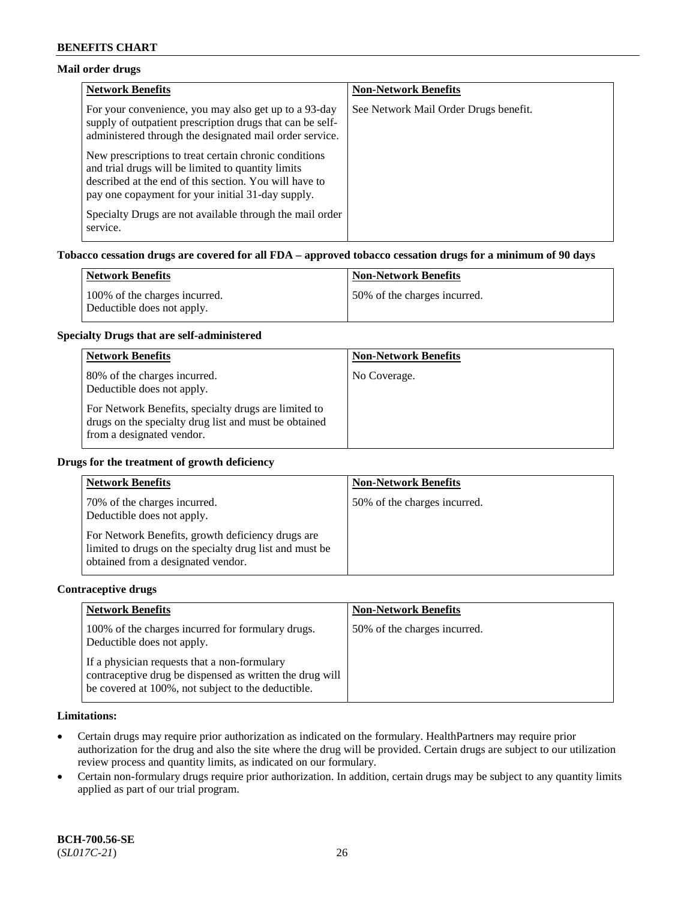# **Mail order drugs**

| <b>Network Benefits</b>                                                                                                                                                                                                    | <b>Non-Network Benefits</b>           |
|----------------------------------------------------------------------------------------------------------------------------------------------------------------------------------------------------------------------------|---------------------------------------|
| For your convenience, you may also get up to a 93-day<br>supply of outpatient prescription drugs that can be self-<br>administered through the designated mail order service.                                              | See Network Mail Order Drugs benefit. |
| New prescriptions to treat certain chronic conditions<br>and trial drugs will be limited to quantity limits<br>described at the end of this section. You will have to<br>pay one copayment for your initial 31-day supply. |                                       |
| Specialty Drugs are not available through the mail order<br>service.                                                                                                                                                       |                                       |

# **Tobacco cessation drugs are covered for all FDA – approved tobacco cessation drugs for a minimum of 90 days**

| Network Benefits                                            | <b>Non-Network Benefits</b>   |
|-------------------------------------------------------------|-------------------------------|
| 100% of the charges incurred.<br>Deductible does not apply. | 150% of the charges incurred. |

#### **Specialty Drugs that are self-administered**

| <b>Network Benefits</b>                                                                                                                    | <b>Non-Network Benefits</b> |
|--------------------------------------------------------------------------------------------------------------------------------------------|-----------------------------|
| 80% of the charges incurred.<br>Deductible does not apply.                                                                                 | No Coverage.                |
| For Network Benefits, specialty drugs are limited to<br>drugs on the specialty drug list and must be obtained<br>from a designated vendor. |                             |

#### **Drugs for the treatment of growth deficiency**

| <b>Network Benefits</b>                                                                                                                            | <b>Non-Network Benefits</b>  |
|----------------------------------------------------------------------------------------------------------------------------------------------------|------------------------------|
| 70% of the charges incurred.<br>Deductible does not apply.                                                                                         | 50% of the charges incurred. |
| For Network Benefits, growth deficiency drugs are<br>limited to drugs on the specialty drug list and must be<br>obtained from a designated vendor. |                              |

#### **Contraceptive drugs**

| <b>Network Benefits</b>                                                                                                                                        | <b>Non-Network Benefits</b>  |
|----------------------------------------------------------------------------------------------------------------------------------------------------------------|------------------------------|
| 100% of the charges incurred for formulary drugs.<br>Deductible does not apply.                                                                                | 50% of the charges incurred. |
| If a physician requests that a non-formulary<br>contraceptive drug be dispensed as written the drug will<br>be covered at 100%, not subject to the deductible. |                              |

# **Limitations:**

- Certain drugs may require prior authorization as indicated on the formulary. HealthPartners may require prior authorization for the drug and also the site where the drug will be provided. Certain drugs are subject to our utilization review process and quantity limits, as indicated on our formulary.
- Certain non-formulary drugs require prior authorization. In addition, certain drugs may be subject to any quantity limits applied as part of our trial program.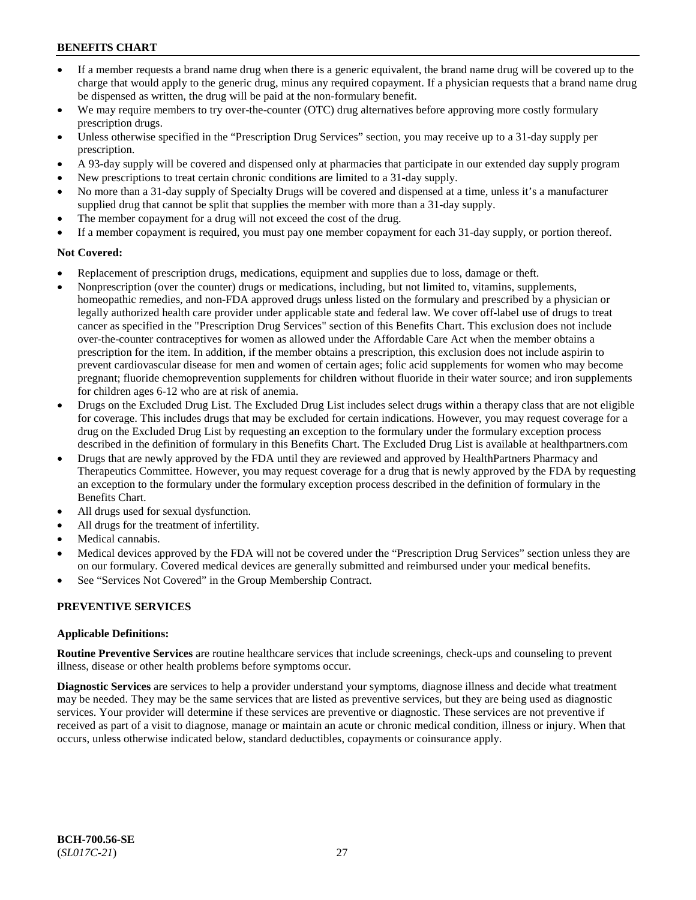- If a member requests a brand name drug when there is a generic equivalent, the brand name drug will be covered up to the charge that would apply to the generic drug, minus any required copayment. If a physician requests that a brand name drug be dispensed as written, the drug will be paid at the non-formulary benefit.
- We may require members to try over-the-counter (OTC) drug alternatives before approving more costly formulary prescription drugs.
- Unless otherwise specified in the "Prescription Drug Services" section, you may receive up to a 31-day supply per prescription.
- A 93-day supply will be covered and dispensed only at pharmacies that participate in our extended day supply program
- New prescriptions to treat certain chronic conditions are limited to a 31-day supply.
- No more than a 31-day supply of Specialty Drugs will be covered and dispensed at a time, unless it's a manufacturer supplied drug that cannot be split that supplies the member with more than a 31-day supply.
- The member copayment for a drug will not exceed the cost of the drug.
- If a member copayment is required, you must pay one member copayment for each 31-day supply, or portion thereof.

# **Not Covered:**

- Replacement of prescription drugs, medications, equipment and supplies due to loss, damage or theft.
- Nonprescription (over the counter) drugs or medications, including, but not limited to, vitamins, supplements, homeopathic remedies, and non-FDA approved drugs unless listed on the formulary and prescribed by a physician or legally authorized health care provider under applicable state and federal law. We cover off-label use of drugs to treat cancer as specified in the "Prescription Drug Services" section of this Benefits Chart. This exclusion does not include over-the-counter contraceptives for women as allowed under the Affordable Care Act when the member obtains a prescription for the item. In addition, if the member obtains a prescription, this exclusion does not include aspirin to prevent cardiovascular disease for men and women of certain ages; folic acid supplements for women who may become pregnant; fluoride chemoprevention supplements for children without fluoride in their water source; and iron supplements for children ages 6-12 who are at risk of anemia.
- Drugs on the Excluded Drug List. The Excluded Drug List includes select drugs within a therapy class that are not eligible for coverage. This includes drugs that may be excluded for certain indications. However, you may request coverage for a drug on the Excluded Drug List by requesting an exception to the formulary under the formulary exception process described in the definition of formulary in this Benefits Chart. The Excluded Drug List is available at [healthpartners.com](http://www.healthpartners.com/)
- Drugs that are newly approved by the FDA until they are reviewed and approved by HealthPartners Pharmacy and Therapeutics Committee. However, you may request coverage for a drug that is newly approved by the FDA by requesting an exception to the formulary under the formulary exception process described in the definition of formulary in the Benefits Chart.
- All drugs used for sexual dysfunction.
- All drugs for the treatment of infertility.
- Medical cannabis.
- Medical devices approved by the FDA will not be covered under the "Prescription Drug Services" section unless they are on our formulary. Covered medical devices are generally submitted and reimbursed under your medical benefits.
- See "Services Not Covered" in the Group Membership Contract.

# **PREVENTIVE SERVICES**

# **Applicable Definitions:**

**Routine Preventive Services** are routine healthcare services that include screenings, check-ups and counseling to prevent illness, disease or other health problems before symptoms occur.

**Diagnostic Services** are services to help a provider understand your symptoms, diagnose illness and decide what treatment may be needed. They may be the same services that are listed as preventive services, but they are being used as diagnostic services. Your provider will determine if these services are preventive or diagnostic. These services are not preventive if received as part of a visit to diagnose, manage or maintain an acute or chronic medical condition, illness or injury. When that occurs, unless otherwise indicated below, standard deductibles, copayments or coinsurance apply.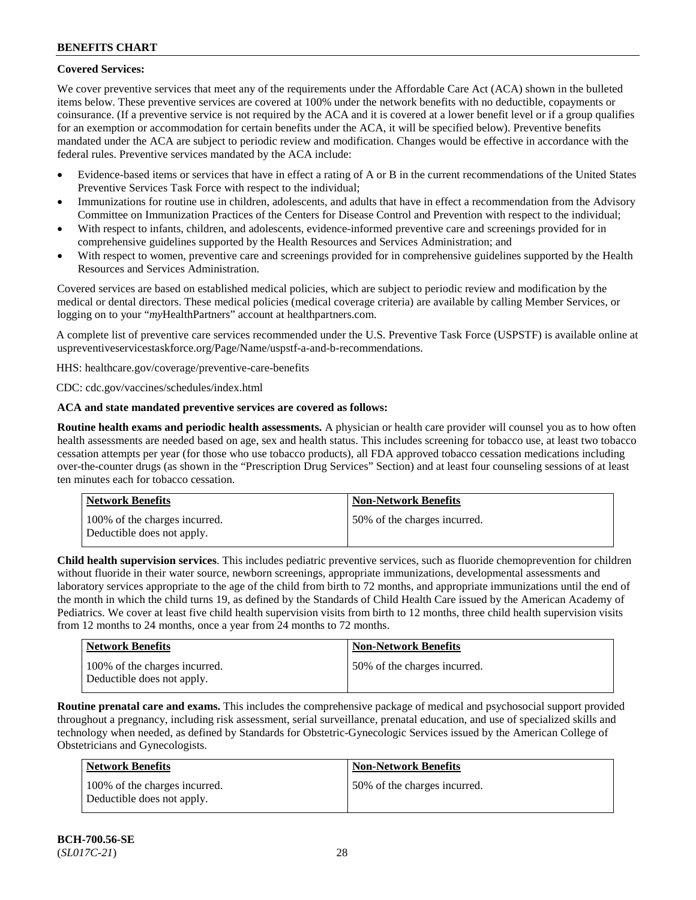# **Covered Services:**

We cover preventive services that meet any of the requirements under the Affordable Care Act (ACA) shown in the bulleted items below. These preventive services are covered at 100% under the network benefits with no deductible, copayments or coinsurance. (If a preventive service is not required by the ACA and it is covered at a lower benefit level or if a group qualifies for an exemption or accommodation for certain benefits under the ACA, it will be specified below). Preventive benefits mandated under the ACA are subject to periodic review and modification. Changes would be effective in accordance with the federal rules. Preventive services mandated by the ACA include:

- Evidence-based items or services that have in effect a rating of A or B in the current recommendations of the United States Preventive Services Task Force with respect to the individual;
- Immunizations for routine use in children, adolescents, and adults that have in effect a recommendation from the Advisory Committee on Immunization Practices of the Centers for Disease Control and Prevention with respect to the individual;
- With respect to infants, children, and adolescents, evidence-informed preventive care and screenings provided for in comprehensive guidelines supported by the Health Resources and Services Administration; and
- With respect to women, preventive care and screenings provided for in comprehensive guidelines supported by the Health Resources and Services Administration.

Covered services are based on established medical policies, which are subject to periodic review and modification by the medical or dental directors. These medical policies (medical coverage criteria) are available by calling Member Services, or logging on to your "*my*HealthPartners" account at [healthpartners.com.](http://www.healthpartners.com/)

A complete list of preventive care services recommended under the U.S. Preventive Task Force (USPSTF) is available online at [uspreventiveservicestaskforce.org/Page/Name/uspstf-a-and-b-recommendations.](https://www.uspreventiveservicestaskforce.org/Page/Name/uspstf-a-and-b-recommendations-by-date/)

HHS: [healthcare.gov/coverage/preventive-care-benefits](https://www.healthcare.gov/coverage/preventive-care-benefits/)

CDC: [cdc.gov/vaccines/schedules/index.html](https://www.cdc.gov/vaccines/schedules/index.html)

# **ACA and state mandated preventive services are covered as follows:**

**Routine health exams and periodic health assessments.** A physician or health care provider will counsel you as to how often health assessments are needed based on age, sex and health status. This includes screening for tobacco use, at least two tobacco cessation attempts per year (for those who use tobacco products), all FDA approved tobacco cessation medications including over-the-counter drugs (as shown in the "Prescription Drug Services" Section) and at least four counseling sessions of at least ten minutes each for tobacco cessation.

| Network Benefits                                            | <b>Non-Network Benefits</b>  |
|-------------------------------------------------------------|------------------------------|
| 100% of the charges incurred.<br>Deductible does not apply. | 50% of the charges incurred. |

**Child health supervision services**. This includes pediatric preventive services, such as fluoride chemoprevention for children without fluoride in their water source, newborn screenings, appropriate immunizations, developmental assessments and laboratory services appropriate to the age of the child from birth to 72 months, and appropriate immunizations until the end of the month in which the child turns 19, as defined by the Standards of Child Health Care issued by the American Academy of Pediatrics. We cover at least five child health supervision visits from birth to 12 months, three child health supervision visits from 12 months to 24 months, once a year from 24 months to 72 months.

| <b>Network Benefits</b>                                     | <b>Non-Network Benefits</b>  |
|-------------------------------------------------------------|------------------------------|
| 100% of the charges incurred.<br>Deductible does not apply. | 50% of the charges incurred. |

**Routine prenatal care and exams.** This includes the comprehensive package of medical and psychosocial support provided throughout a pregnancy, including risk assessment, serial surveillance, prenatal education, and use of specialized skills and technology when needed, as defined by Standards for Obstetric-Gynecologic Services issued by the American College of Obstetricians and Gynecologists.

| Network Benefits                                            | <b>Non-Network Benefits</b>  |
|-------------------------------------------------------------|------------------------------|
| 100% of the charges incurred.<br>Deductible does not apply. | 50% of the charges incurred. |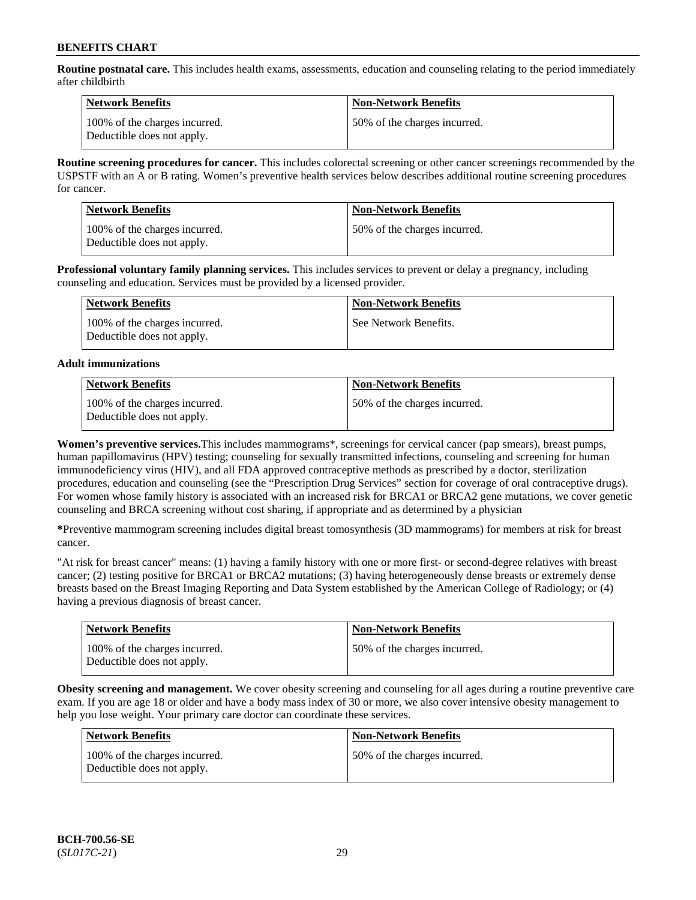**Routine postnatal care.** This includes health exams, assessments, education and counseling relating to the period immediately after childbirth

| Network Benefits                                            | <b>Non-Network Benefits</b>  |
|-------------------------------------------------------------|------------------------------|
| 100% of the charges incurred.<br>Deductible does not apply. | 50% of the charges incurred. |

**Routine screening procedures for cancer.** This includes colorectal screening or other cancer screenings recommended by the USPSTF with an A or B rating. Women's preventive health services below describes additional routine screening procedures for cancer.

| <b>Network Benefits</b>                                     | <b>Non-Network Benefits</b>  |
|-------------------------------------------------------------|------------------------------|
| 100% of the charges incurred.<br>Deductible does not apply. | 50% of the charges incurred. |

**Professional voluntary family planning services.** This includes services to prevent or delay a pregnancy, including counseling and education. Services must be provided by a licensed provider.

| Network Benefits                                            | <b>Non-Network Benefits</b> |
|-------------------------------------------------------------|-----------------------------|
| 100% of the charges incurred.<br>Deductible does not apply. | See Network Benefits.       |

# **Adult immunizations**

| <b>Network Benefits</b>                                     | <b>Non-Network Benefits</b>  |
|-------------------------------------------------------------|------------------------------|
| 100% of the charges incurred.<br>Deductible does not apply. | 50% of the charges incurred. |

**Women's preventive services.**This includes mammograms\*, screenings for cervical cancer (pap smears), breast pumps, human papillomavirus (HPV) testing; counseling for sexually transmitted infections, counseling and screening for human immunodeficiency virus (HIV), and all FDA approved contraceptive methods as prescribed by a doctor, sterilization procedures, education and counseling (see the "Prescription Drug Services" section for coverage of oral contraceptive drugs). For women whose family history is associated with an increased risk for BRCA1 or BRCA2 gene mutations, we cover genetic counseling and BRCA screening without cost sharing, if appropriate and as determined by a physician

**\***Preventive mammogram screening includes digital breast tomosynthesis (3D mammograms) for members at risk for breast cancer.

"At risk for breast cancer" means: (1) having a family history with one or more first- or second-degree relatives with breast cancer; (2) testing positive for BRCA1 or BRCA2 mutations; (3) having heterogeneously dense breasts or extremely dense breasts based on the Breast Imaging Reporting and Data System established by the American College of Radiology; or (4) having a previous diagnosis of breast cancer.

| <b>Network Benefits</b>                                     | <b>Non-Network Benefits</b>  |
|-------------------------------------------------------------|------------------------------|
| 100% of the charges incurred.<br>Deductible does not apply. | 50% of the charges incurred. |

**Obesity screening and management.** We cover obesity screening and counseling for all ages during a routine preventive care exam. If you are age 18 or older and have a body mass index of 30 or more, we also cover intensive obesity management to help you lose weight. Your primary care doctor can coordinate these services.

| <b>Network Benefits</b>                                     | <b>Non-Network Benefits</b>  |
|-------------------------------------------------------------|------------------------------|
| 100% of the charges incurred.<br>Deductible does not apply. | 50% of the charges incurred. |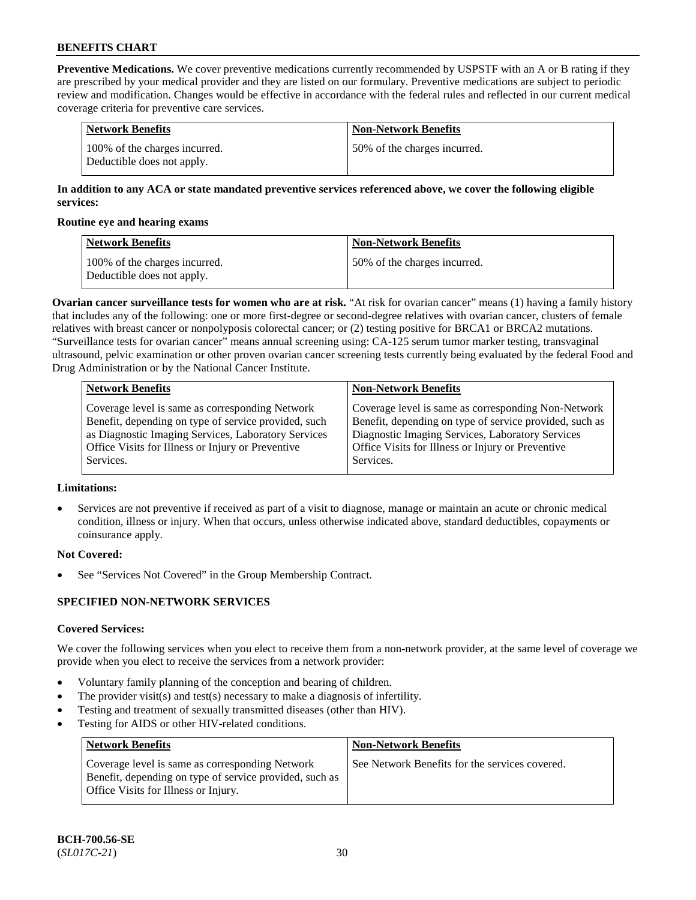**Preventive Medications.** We cover preventive medications currently recommended by USPSTF with an A or B rating if they are prescribed by your medical provider and they are listed on our formulary. Preventive medications are subject to periodic review and modification. Changes would be effective in accordance with the federal rules and reflected in our current medical coverage criteria for preventive care services.

| Network Benefits                                            | <b>Non-Network Benefits</b>  |
|-------------------------------------------------------------|------------------------------|
| 100% of the charges incurred.<br>Deductible does not apply. | 50% of the charges incurred. |

# **In addition to any ACA or state mandated preventive services referenced above, we cover the following eligible services:**

#### **Routine eye and hearing exams**

| <b>Network Benefits</b>                                     | <b>Non-Network Benefits</b>  |
|-------------------------------------------------------------|------------------------------|
| 100% of the charges incurred.<br>Deductible does not apply. | 50% of the charges incurred. |

**Ovarian cancer surveillance tests for women who are at risk.** "At risk for ovarian cancer" means (1) having a family history that includes any of the following: one or more first-degree or second-degree relatives with ovarian cancer, clusters of female relatives with breast cancer or nonpolyposis colorectal cancer; or (2) testing positive for BRCA1 or BRCA2 mutations. "Surveillance tests for ovarian cancer" means annual screening using: CA-125 serum tumor marker testing, transvaginal ultrasound, pelvic examination or other proven ovarian cancer screening tests currently being evaluated by the federal Food and Drug Administration or by the National Cancer Institute.

| <b>Network Benefits</b>                              | <b>Non-Network Benefits</b>                             |
|------------------------------------------------------|---------------------------------------------------------|
| Coverage level is same as corresponding Network      | Coverage level is same as corresponding Non-Network     |
| Benefit, depending on type of service provided, such | Benefit, depending on type of service provided, such as |
| as Diagnostic Imaging Services, Laboratory Services  | Diagnostic Imaging Services, Laboratory Services        |
| Office Visits for Illness or Injury or Preventive    | Office Visits for Illness or Injury or Preventive       |
| Services.                                            | Services.                                               |

# **Limitations:**

• Services are not preventive if received as part of a visit to diagnose, manage or maintain an acute or chronic medical condition, illness or injury. When that occurs, unless otherwise indicated above, standard deductibles, copayments or coinsurance apply.

# **Not Covered:**

See "Services Not Covered" in the Group Membership Contract.

# **SPECIFIED NON-NETWORK SERVICES**

# **Covered Services:**

We cover the following services when you elect to receive them from a non-network provider, at the same level of coverage we provide when you elect to receive the services from a network provider:

- Voluntary family planning of the conception and bearing of children.
- The provider visit(s) and test(s) necessary to make a diagnosis of infertility.
- Testing and treatment of sexually transmitted diseases (other than HIV).
- Testing for AIDS or other HIV-related conditions.

| <b>Network Benefits</b>                                                                                                                            | <b>Non-Network Benefits</b>                    |
|----------------------------------------------------------------------------------------------------------------------------------------------------|------------------------------------------------|
| Coverage level is same as corresponding Network<br>Benefit, depending on type of service provided, such as<br>Office Visits for Illness or Injury. | See Network Benefits for the services covered. |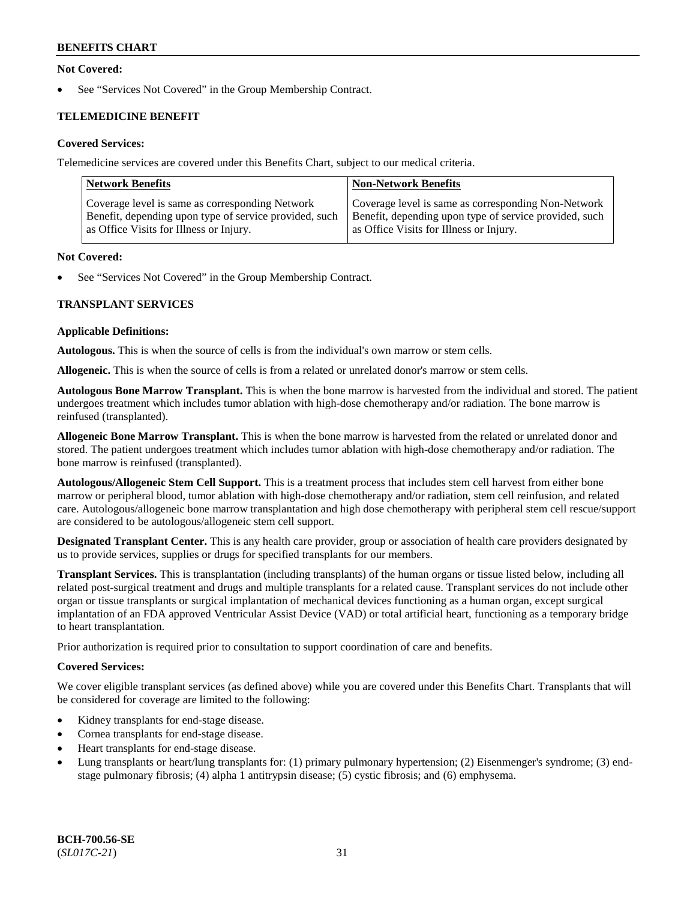# **Not Covered:**

See "Services Not Covered" in the Group Membership Contract.

# **TELEMEDICINE BENEFIT**

# **Covered Services:**

Telemedicine services are covered under this Benefits Chart, subject to our medical criteria.

| <b>Network Benefits</b>                                | <b>Non-Network Benefits</b>                            |
|--------------------------------------------------------|--------------------------------------------------------|
| Coverage level is same as corresponding Network        | Coverage level is same as corresponding Non-Network    |
| Benefit, depending upon type of service provided, such | Benefit, depending upon type of service provided, such |
| as Office Visits for Illness or Injury.                | as Office Visits for Illness or Injury.                |

#### **Not Covered:**

See "Services Not Covered" in the Group Membership Contract.

# **TRANSPLANT SERVICES**

#### **Applicable Definitions:**

**Autologous.** This is when the source of cells is from the individual's own marrow or stem cells.

**Allogeneic.** This is when the source of cells is from a related or unrelated donor's marrow or stem cells.

**Autologous Bone Marrow Transplant.** This is when the bone marrow is harvested from the individual and stored. The patient undergoes treatment which includes tumor ablation with high-dose chemotherapy and/or radiation. The bone marrow is reinfused (transplanted).

**Allogeneic Bone Marrow Transplant.** This is when the bone marrow is harvested from the related or unrelated donor and stored. The patient undergoes treatment which includes tumor ablation with high-dose chemotherapy and/or radiation. The bone marrow is reinfused (transplanted).

**Autologous/Allogeneic Stem Cell Support.** This is a treatment process that includes stem cell harvest from either bone marrow or peripheral blood, tumor ablation with high-dose chemotherapy and/or radiation, stem cell reinfusion, and related care. Autologous/allogeneic bone marrow transplantation and high dose chemotherapy with peripheral stem cell rescue/support are considered to be autologous/allogeneic stem cell support.

**Designated Transplant Center.** This is any health care provider, group or association of health care providers designated by us to provide services, supplies or drugs for specified transplants for our members.

**Transplant Services.** This is transplantation (including transplants) of the human organs or tissue listed below, including all related post-surgical treatment and drugs and multiple transplants for a related cause. Transplant services do not include other organ or tissue transplants or surgical implantation of mechanical devices functioning as a human organ, except surgical implantation of an FDA approved Ventricular Assist Device (VAD) or total artificial heart, functioning as a temporary bridge to heart transplantation.

Prior authorization is required prior to consultation to support coordination of care and benefits.

# **Covered Services:**

We cover eligible transplant services (as defined above) while you are covered under this Benefits Chart. Transplants that will be considered for coverage are limited to the following:

- Kidney transplants for end-stage disease.
- Cornea transplants for end-stage disease.
- Heart transplants for end-stage disease.
- Lung transplants or heart/lung transplants for: (1) primary pulmonary hypertension; (2) Eisenmenger's syndrome; (3) endstage pulmonary fibrosis; (4) alpha 1 antitrypsin disease; (5) cystic fibrosis; and (6) emphysema.